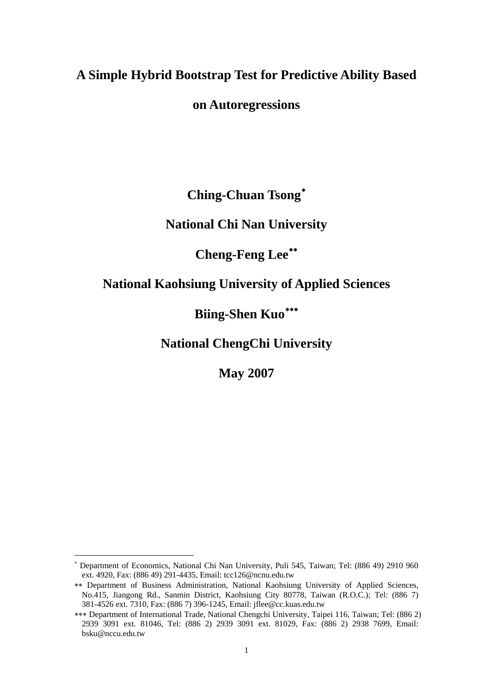# **A Simple Hybrid Bootstrap Test for Predictive Ability Based**

## **on Autoregressions**

**Ching-Chuan Tsong**[∗](#page-0-0)

**National Chi Nan University** 

## **Cheng-Feng Lee**[∗∗](#page-0-1)

### **National Kaohsiung University of Applied Sciences**

# **Biing-Shen Kuo**[∗∗∗](#page-0-2)

**National ChengChi University** 

**May 2007** 

 $\overline{a}$ 

<span id="page-0-0"></span><sup>∗</sup> Department of Economics, National Chi Nan University, Puli 545, Taiwan; Tel: (886 49) 2910 960 ext. 4920, Fax: (886 49) 291-4435, Email: tcc126@ncnu.edu.tw

<span id="page-0-1"></span><sup>∗∗</sup> Department of Business Administration, National Kaohsiung University of Applied Sciences, No.415, Jiangong Rd., Sanmin District, Kaohsiung City 80778, Taiwan (R.O.C.); Tel: (886 7) 381-4526 ext. 7310, Fax: (886 7) 396-1245, Email: jflee@cc.kuas.edu.tw

<span id="page-0-2"></span><sup>∗∗∗</sup> Department of International Trade, National Chengchi University, Taipei 116, Taiwan; Tel: (886 2) 2939 3091 ext. 81046, Tel: (886 2) 2939 3091 ext. 81029, Fax: (886 2) 2938 7699, Email: bsku@nccu.edu.tw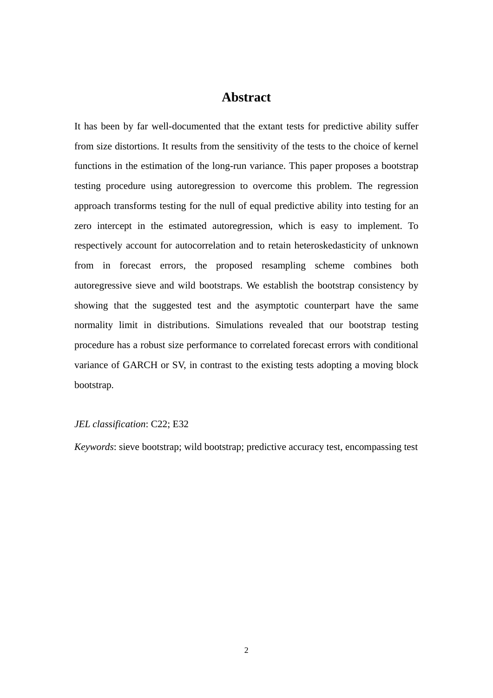### **Abstract**

It has been by far well-documented that the extant tests for predictive ability suffer from size distortions. It results from the sensitivity of the tests to the choice of kernel functions in the estimation of the long-run variance. This paper proposes a bootstrap testing procedure using autoregression to overcome this problem. The regression approach transforms testing for the null of equal predictive ability into testing for an zero intercept in the estimated autoregression, which is easy to implement. To respectively account for autocorrelation and to retain heteroskedasticity of unknown from in forecast errors, the proposed resampling scheme combines both autoregressive sieve and wild bootstraps. We establish the bootstrap consistency by showing that the suggested test and the asymptotic counterpart have the same normality limit in distributions. Simulations revealed that our bootstrap testing procedure has a robust size performance to correlated forecast errors with conditional variance of GARCH or SV, in contrast to the existing tests adopting a moving block bootstrap.

#### *JEL classification*: C22; E32

*Keywords*: sieve bootstrap; wild bootstrap; predictive accuracy test, encompassing test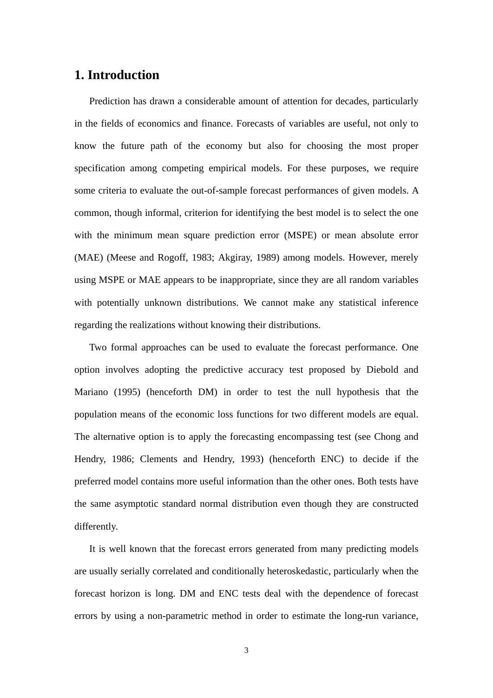#### **1. Introduction**

Prediction has drawn a considerable amount of attention for decades, particularly in the fields of economics and finance. Forecasts of variables are useful, not only to know the future path of the economy but also for choosing the most proper specification among competing empirical models. For these purposes, we require some criteria to evaluate the out-of-sample forecast performances of given models. A common, though informal, criterion for identifying the best model is to select the one with the minimum mean square prediction error (MSPE) or mean absolute error (MAE) (Meese and Rogoff, 1983; Akgiray, 1989) among models. However, merely using MSPE or MAE appears to be inappropriate, since they are all random variables with potentially unknown distributions. We cannot make any statistical inference regarding the realizations without knowing their distributions.

Two formal approaches can be used to evaluate the forecast performance. One option involves adopting the predictive accuracy test proposed by Diebold and Mariano (1995) (henceforth DM) in order to test the null hypothesis that the population means of the economic loss functions for two different models are equal. The alternative option is to apply the forecasting encompassing test (see Chong and Hendry, 1986; Clements and Hendry, 1993) (henceforth ENC) to decide if the preferred model contains more useful information than the other ones. Both tests have the same asymptotic standard normal distribution even though they are constructed differently.

It is well known that the forecast errors generated from many predicting models are usually serially correlated and conditionally heteroskedastic, particularly when the forecast horizon is long. DM and ENC tests deal with the dependence of forecast errors by using a non-parametric method in order to estimate the long-run variance,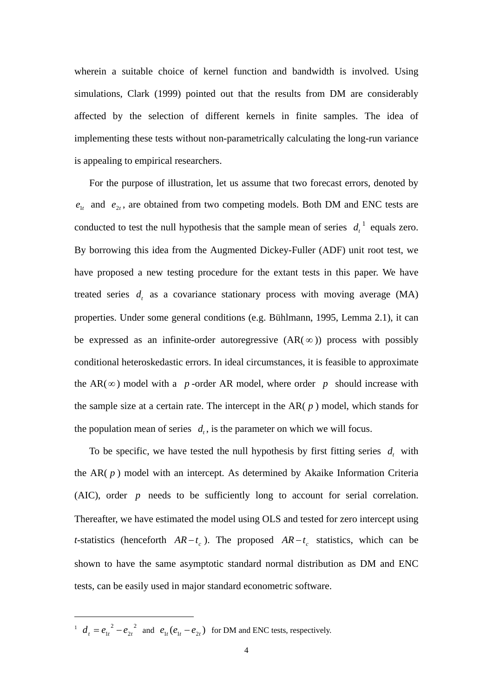wherein a suitable choice of kernel function and bandwidth is involved. Using simulations, Clark (1999) pointed out that the results from DM are considerably affected by the selection of different kernels in finite samples. The idea of implementing these tests without non-parametrically calculating the long-run variance is appealing to empirical researchers.

For the purpose of illustration, let us assume that two forecast errors, denoted by  $e_{1t}$  and  $e_{2t}$ , are obtained from two competing models. Both DM and ENC tests are conducted to test the null hypothesis that the sample mean of series  $d_t$ <sup>[1](#page-3-0)</sup> equals zero. By borrowing this idea from the Augmented Dickey-Fuller (ADF) unit root test, we have proposed a new testing procedure for the extant tests in this paper. We have treated series  $d_i$ , as a covariance stationary process with moving average (MA) properties. Under some general conditions (e.g. Bühlmann, 1995, Lemma 2.1), it can be expressed as an infinite-order autoregressive  $(AR(\infty))$  process with possibly conditional heteroskedastic errors. In ideal circumstances, it is feasible to approximate the AR( $\infty$ ) model with a *p*-order AR model, where order *p* should increase with the sample size at a certain rate. The intercept in the AR( *p* ) model, which stands for the population mean of series  $d_t$ , is the parameter on which we will focus.

To be specific, we have tested the null hypothesis by first fitting series  $d_t$  with the AR( *p* ) model with an intercept. As determined by Akaike Information Criteria (AIC), order *p* needs to be sufficiently long to account for serial correlation. Thereafter, we have estimated the model using OLS and tested for zero intercept using *t*-statistics (henceforth  $AR - t_c$ ). The proposed  $AR - t_c$  statistics, which can be shown to have the same asymptotic standard normal distribution as DM and ENC tests, can be easily used in major standard econometric software.

<span id="page-3-0"></span><sup>1</sup>  $d_t = e_{1t}^2 - e_{2t}^2$  $d_t = e_{1t}^2 - e_{2t}^2$  and  $e_{1t} (e_{1t} - e_{2t})$  for DM and ENC tests, respectively.

 $\overline{a}$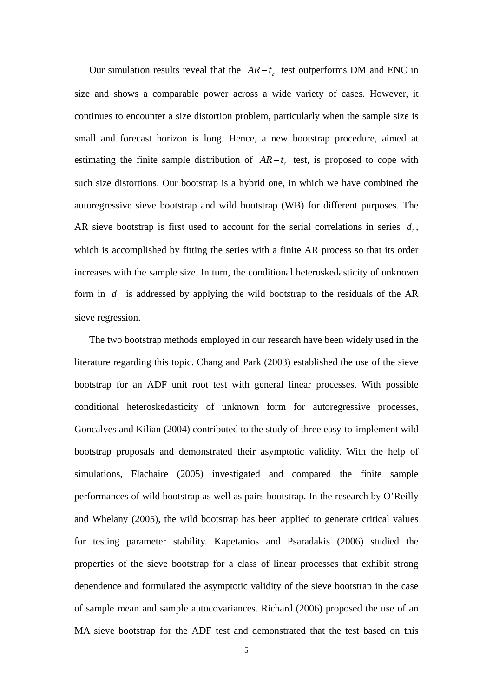Our simulation results reveal that the  $AR - t_c$  test outperforms DM and ENC in size and shows a comparable power across a wide variety of cases. However, it continues to encounter a size distortion problem, particularly when the sample size is small and forecast horizon is long. Hence, a new bootstrap procedure, aimed at estimating the finite sample distribution of  $AR - t_c$  test, is proposed to cope with such size distortions. Our bootstrap is a hybrid one, in which we have combined the autoregressive sieve bootstrap and wild bootstrap (WB) for different purposes. The AR sieve bootstrap is first used to account for the serial correlations in series  $d_t$ , which is accomplished by fitting the series with a finite AR process so that its order increases with the sample size. In turn, the conditional heteroskedasticity of unknown form in  $d_t$ , is addressed by applying the wild bootstrap to the residuals of the AR sieve regression.

The two bootstrap methods employed in our research have been widely used in the literature regarding this topic. Chang and Park (2003) established the use of the sieve bootstrap for an ADF unit root test with general linear processes. With possible conditional heteroskedasticity of unknown form for autoregressive processes, Goncalves and Kilian (2004) contributed to the study of three easy-to-implement wild bootstrap proposals and demonstrated their asymptotic validity. With the help of simulations, Flachaire (2005) investigated and compared the finite sample performances of wild bootstrap as well as pairs bootstrap. In the research by O'Reilly and Whelany (2005), the wild bootstrap has been applied to generate critical values for testing parameter stability. Kapetanios and Psaradakis (2006) studied the properties of the sieve bootstrap for a class of linear processes that exhibit strong dependence and formulated the asymptotic validity of the sieve bootstrap in the case of sample mean and sample autocovariances. Richard (2006) proposed the use of an MA sieve bootstrap for the ADF test and demonstrated that the test based on this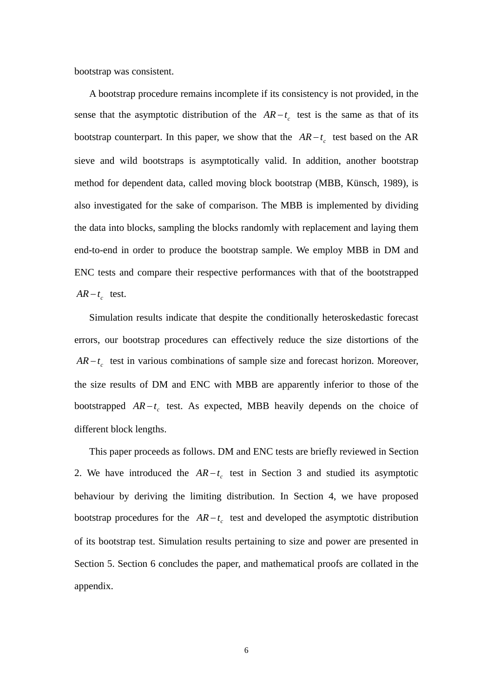bootstrap was consistent.

A bootstrap procedure remains incomplete if its consistency is not provided, in the sense that the asymptotic distribution of the  $AR - t_c$  test is the same as that of its bootstrap counterpart. In this paper, we show that the  $AR - t_c$  test based on the AR sieve and wild bootstraps is asymptotically valid. In addition, another bootstrap method for dependent data, called moving block bootstrap (MBB, Künsch, 1989), is also investigated for the sake of comparison. The MBB is implemented by dividing the data into blocks, sampling the blocks randomly with replacement and laying them end-to-end in order to produce the bootstrap sample. We employ MBB in DM and ENC tests and compare their respective performances with that of the bootstrapped  $AR - t_c$  test.

Simulation results indicate that despite the conditionally heteroskedastic forecast errors, our bootstrap procedures can effectively reduce the size distortions of the  $AR - t_c$  test in various combinations of sample size and forecast horizon. Moreover, the size results of DM and ENC with MBB are apparently inferior to those of the bootstrapped  $AR - t_c$  test. As expected, MBB heavily depends on the choice of different block lengths.

This paper proceeds as follows. DM and ENC tests are briefly reviewed in Section 2. We have introduced the  $AR - t_c$  test in Section 3 and studied its asymptotic behaviour by deriving the limiting distribution. In Section 4, we have proposed bootstrap procedures for the  $AR - t_c$  test and developed the asymptotic distribution of its bootstrap test. Simulation results pertaining to size and power are presented in Section 5. Section 6 concludes the paper, and mathematical proofs are collated in the appendix.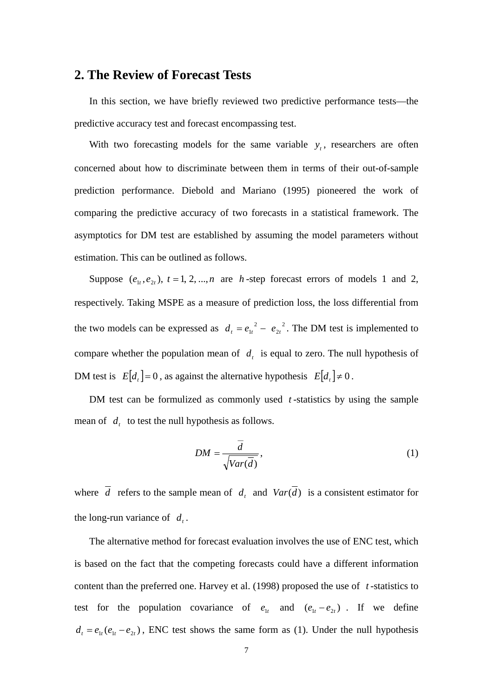#### **2. The Review of Forecast Tests**

In this section, we have briefly reviewed two predictive performance tests—the predictive accuracy test and forecast encompassing test.

With two forecasting models for the same variable  $y_t$ , researchers are often concerned about how to discriminate between them in terms of their out-of-sample prediction performance. Diebold and Mariano (1995) pioneered the work of comparing the predictive accuracy of two forecasts in a statistical framework. The asymptotics for DM test are established by assuming the model parameters without estimation. This can be outlined as follows.

Suppose  $(e_{1t}, e_{2t})$ ,  $t = 1, 2, ..., n$  are *h*-step forecast errors of models 1 and 2, respectively. Taking MSPE as a measure of prediction loss, the loss differential from the two models can be expressed as  $d_t = e_{1t}^2 - e_{2t}^2$  $d_t = e_{1t}^2 - e_{2t}^2$ . The DM test is implemented to compare whether the population mean of  $d_i$ , is equal to zero. The null hypothesis of DM test is  $E[d_t] = 0$ , as against the alternative hypothesis  $E[d_t] \neq 0$ .

DM test can be formulized as commonly used *t* -statistics by using the sample mean of  $d_t$  to test the null hypothesis as follows.

$$
DM = \frac{\overline{d}}{\sqrt{Var(\overline{d})}},
$$
\n(1)

where  $\overline{d}$  refers to the sample mean of  $d_t$  and  $Var(\overline{d})$  is a consistent estimator for the long-run variance of  $d_t$ .

The alternative method for forecast evaluation involves the use of ENC test, which is based on the fact that the competing forecasts could have a different information content than the preferred one. Harvey et al. (1998) proposed the use of *t* -statistics to test for the population covariance of  $e_{1t}$  and  $(e_{1t} - e_{2t})$ . If we define  $d_t = e_{1t}(e_{1t} - e_{2t})$ , ENC test shows the same form as (1). Under the null hypothesis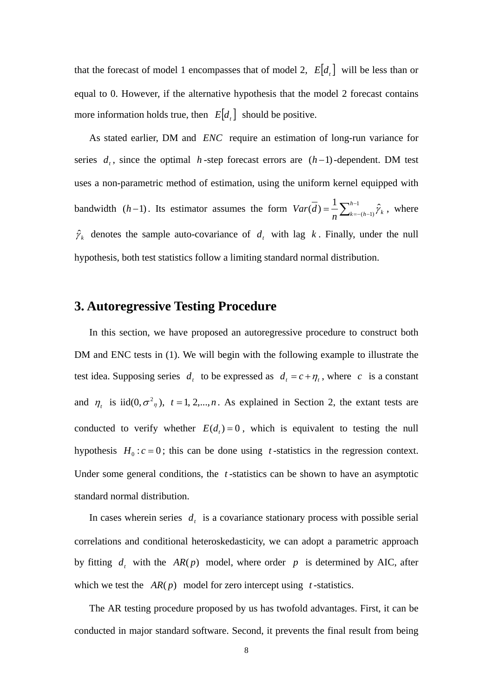that the forecast of model 1 encompasses that of model 2,  $E[d_t]$  will be less than or equal to 0. However, if the alternative hypothesis that the model 2 forecast contains more information holds true, then  $E[d_i]$  should be positive.

As stated earlier, DM and *ENC* require an estimation of long-run variance for series  $d_t$ , since the optimal *h*-step forecast errors are  $(h-1)$ -dependent. DM test uses a non-parametric method of estimation, using the uniform kernel equipped with bandwidth  $(h-1)$ . Its estimator assumes the form  $Var(\overline{d}) = \frac{1}{n} \sum_{k=-(h-1)}^{h-1} \hat{\gamma}_k$  $Var(d) = \sum_{k=0}^{n-1} \hat{\gamma}_k$ , where  $\hat{\gamma}_k$  denotes the sample auto-covariance of  $d_t$  with lag  $k$ . Finally, under the null hypothesis, both test statistics follow a limiting standard normal distribution.

### **3. Autoregressive Testing Procedure**

In this section, we have proposed an autoregressive procedure to construct both DM and ENC tests in (1). We will begin with the following example to illustrate the test idea. Supposing series  $d_t$  to be expressed as  $d_t = c + \eta_t$ , where *c* is a constant and  $\eta_t$  is iid(0, $\sigma^2$ <sub>n</sub>),  $t = 1, 2,...,n$ . As explained in Section 2, the extant tests are conducted to verify whether  $E(d<sub>t</sub>) = 0$ , which is equivalent to testing the null hypothesis  $H_0$ :  $c = 0$ ; this can be done using *t*-statistics in the regression context. Under some general conditions, the *t* -statistics can be shown to have an asymptotic standard normal distribution.

In cases wherein series  $d_t$  is a covariance stationary process with possible serial correlations and conditional heteroskedasticity, we can adopt a parametric approach by fitting  $d_t$ , with the  $AR(p)$  model, where order p is determined by AIC, after which we test the  $AR(p)$  model for zero intercept using *t*-statistics.

The AR testing procedure proposed by us has twofold advantages. First, it can be conducted in major standard software. Second, it prevents the final result from being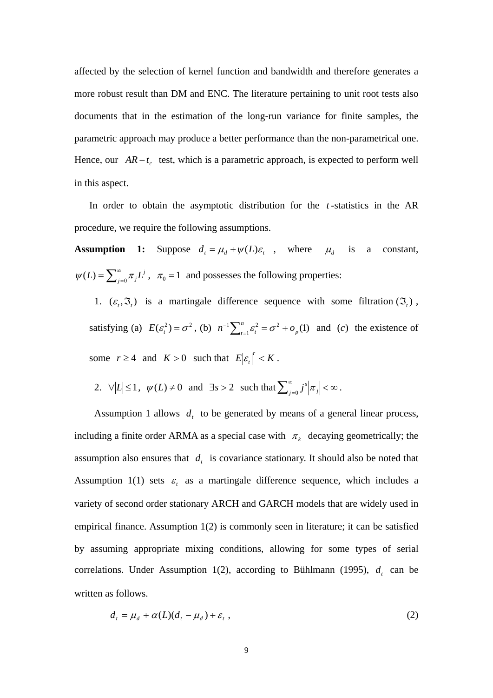affected by the selection of kernel function and bandwidth and therefore generates a more robust result than DM and ENC. The literature pertaining to unit root tests also documents that in the estimation of the long-run variance for finite samples, the parametric approach may produce a better performance than the non-parametrical one. Hence, our  $AR - t_c$  test, which is a parametric approach, is expected to perform well in this aspect.

In order to obtain the asymptotic distribution for the *t* -statistics in the AR procedure, we require the following assumptions.

**Assumption 1:** Suppose  $d_t = \mu_d + \psi(L)\varepsilon_t$ , where  $\mu_d$  is a constant,  $\psi(L) = \sum_{j=0}^{\infty} \pi_j L^j$ ,  $\pi_0 = 1$  and possesses the following properties:

1.  $(\varepsilon_t, \mathfrak{T}_t)$  is a martingale difference sequence with some filtration  $(\mathfrak{T}_t)$ , satisfying (a)  $E(\varepsilon_i^2) = \sigma^2$ , (b)  $n^{-1} \sum_{t=1}^n \varepsilon_i^2 = \sigma^2 + o_p(1)$  $1 \nabla^n$   $a^2$ *p*  $n^{-1} \sum_{t=1}^{n} \varepsilon_t^2 = \sigma^2 + o_p(1)$  and (*c*) the existence of some  $r \ge 4$  and  $K > 0$  such that  $E \left| \varepsilon_r \right|^r < K$ .

2. 
$$
\forall |L| \le 1
$$
,  $\psi(L) \ne 0$  and  $\exists s > 2$  such that  $\sum_{j=0}^{\infty} j^s \left| \pi_j \right| < \infty$ .

Assumption 1 allows  $d_t$  to be generated by means of a general linear process, including a finite order ARMA as a special case with  $\pi_k$  decaying geometrically; the assumption also ensures that  $d_t$  is covariance stationary. It should also be noted that Assumption 1(1) sets  $\varepsilon$  as a martingale difference sequence, which includes a variety of second order stationary ARCH and GARCH models that are widely used in empirical finance. Assumption 1(2) is commonly seen in literature; it can be satisfied by assuming appropriate mixing conditions, allowing for some types of serial correlations. Under Assumption 1(2), according to Bühlmann (1995),  $d_t$  can be written as follows.

$$
d_t = \mu_d + \alpha(L)(d_t - \mu_d) + \varepsilon_t,
$$
\n(2)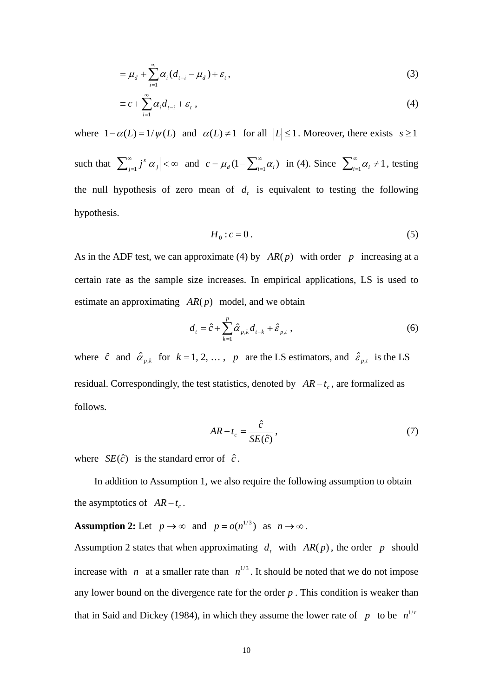$$
=\mu_d+\sum_{i=1}^{\infty}\alpha_i(d_{t-i}-\mu_d)+\varepsilon_t,
$$
\n(3)

$$
\equiv c + \sum_{i=1}^{\infty} \alpha_i d_{t-i} + \varepsilon_t , \qquad (4)
$$

where  $1-\alpha(L) = 1/\psi(L)$  and  $\alpha(L) \neq 1$  for all  $|L| \leq 1$ . Moreover, there exists  $s \geq 1$ such that  $\sum_{j=1}^{\infty} j^s |\alpha_j| < \infty$  $j^s | \alpha_j | < \infty$  and  $c = \mu_d (1 - \sum_{i=1}^{\infty} \alpha_i)$  in (4). Since  $\sum_{i=1}^{\infty} \alpha_i \neq 1$ , testing the null hypothesis of zero mean of  $d<sub>t</sub>$  is equivalent to testing the following hypothesis.

$$
H_0: c = 0.
$$

As in the ADF test, we can approximate (4) by  $AR(p)$  with order p increasing at a certain rate as the sample size increases. In empirical applications, LS is used to estimate an approximating  $AR(p)$  model, and we obtain

$$
d_{t} = \hat{c} + \sum_{k=1}^{p} \hat{\alpha}_{p,k} d_{t-k} + \hat{\varepsilon}_{p,t} , \qquad (6)
$$

where  $\hat{c}$  and  $\hat{\alpha}_{p,k}$  for  $k = 1, 2, ..., p$  are the LS estimators, and  $\hat{\epsilon}_{p,t}$  is the LS residual. Correspondingly, the test statistics, denoted by  $AR - t_c$ , are formalized as follows.

$$
AR - t_c = \frac{\hat{c}}{SE(\hat{c})},\tag{7}
$$

where  $SE(\hat{c})$  is the standard error of  $\hat{c}$ .

 In addition to Assumption 1, we also require the following assumption to obtain the asymptotics of  $AR - t_c$ .

**Assumption 2:** Let  $p \to \infty$  and  $p = o(n^{1/3})$  as  $n \to \infty$ .

Assumption 2 states that when approximating  $d_t$ , with  $AR(p)$ , the order p should increase with *n* at a smaller rate than  $n^{1/3}$ . It should be noted that we do not impose any lower bound on the divergence rate for the order *p* . This condition is weaker than that in Said and Dickey (1984), in which they assume the lower rate of *p* to be  $n^{1/n}$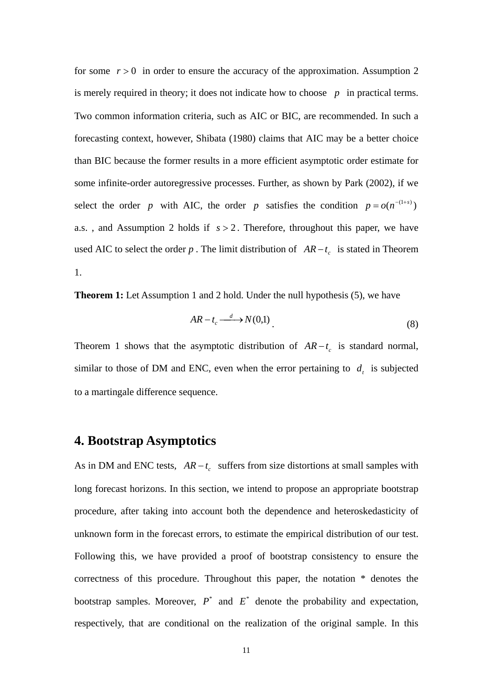for some  $r > 0$  in order to ensure the accuracy of the approximation. Assumption 2 is merely required in theory; it does not indicate how to choose  $p$  in practical terms. Two common information criteria, such as AIC or BIC, are recommended. In such a forecasting context, however, Shibata (1980) claims that AIC may be a better choice than BIC because the former results in a more efficient asymptotic order estimate for some infinite-order autoregressive processes. Further, as shown by Park (2002), if we select the order *p* with AIC, the order *p* satisfies the condition  $p = o(n^{-(1+s)})$ a.s. , and Assumption 2 holds if *s* > 2 . Therefore, throughout this paper, we have used AIC to select the order *p*. The limit distribution of  $AR - t_c$  is stated in Theorem 1.

**Theorem 1:** Let Assumption 1 and 2 hold. Under the null hypothesis (5), we have

$$
AR - t_c \xrightarrow{d} N(0,1) \tag{8}
$$

Theorem 1 shows that the asymptotic distribution of  $AR - t_c$  is standard normal, similar to those of DM and ENC, even when the error pertaining to  $d_t$  is subjected to a martingale difference sequence.

### **4. Bootstrap Asymptotics**

As in DM and ENC tests,  $AR - t_c$  suffers from size distortions at small samples with long forecast horizons. In this section, we intend to propose an appropriate bootstrap procedure, after taking into account both the dependence and heteroskedasticity of unknown form in the forecast errors, to estimate the empirical distribution of our test. Following this, we have provided a proof of bootstrap consistency to ensure the correctness of this procedure. Throughout this paper, the notation \* denotes the bootstrap samples. Moreover,  $P^*$  and  $E^*$  denote the probability and expectation, respectively, that are conditional on the realization of the original sample. In this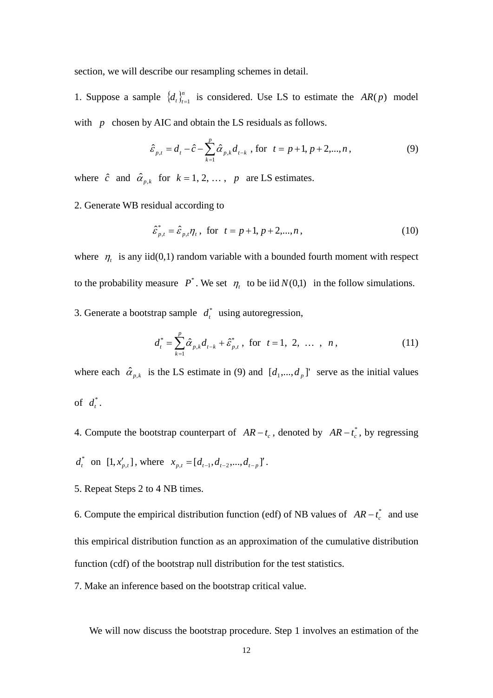section, we will describe our resampling schemes in detail.

1. Suppose a sample  $\{d_i\}_{i=1}^n$  is considered. Use LS to estimate the  $AR(p)$  model with *p* chosen by AIC and obtain the LS residuals as follows.

$$
\hat{\varepsilon}_{p,t} = d_t - \hat{c} - \sum_{k=1}^p \hat{\alpha}_{p,k} d_{t-k} \text{ , for } t = p+1, p+2,...,n ,
$$
 (9)

where  $\hat{c}$  and  $\hat{\alpha}_{p,k}$  for  $k = 1, 2, ..., p$  are LS estimates.

2. Generate WB residual according to

$$
\hat{\varepsilon}_{p,t}^* = \hat{\varepsilon}_{p,t} \eta_t, \text{ for } t = p+1, p+2,...,n,
$$
\n(10)

where  $\eta_t$  is any iid(0,1) random variable with a bounded fourth moment with respect to the probability measure  $P^*$ . We set  $\eta_t$  to be iid  $N(0,1)$  in the follow simulations.

3. Generate a bootstrap sample  $d_t^*$  using autoregression,

$$
d_t^* = \sum_{k=1}^p \hat{\alpha}_{p,k} d_{t-k} + \hat{\varepsilon}_{p,t}^*, \text{ for } t = 1, 2, ..., n,
$$
 (11)

where each  $\hat{\alpha}_{p,k}$  is the LS estimate in (9) and  $[d_1,...,d_p]$  serve as the initial values of  $d_t^*$ .

4. Compute the bootstrap counterpart of  $AR - t_c$ , denoted by  $AR - t_c^*$ , by regressing

$$
d_t^*
$$
 on  $[1, x'_{p,t}]$ , where  $x_{p,t} = [d_{t-1}, d_{t-2},..., d_{t-p}]'$ .

5. Repeat Steps 2 to 4 NB times.

6. Compute the empirical distribution function (edf) of NB values of  $AR - t_c^*$  and use this empirical distribution function as an approximation of the cumulative distribution function (cdf) of the bootstrap null distribution for the test statistics.

7. Make an inference based on the bootstrap critical value.

We will now discuss the bootstrap procedure. Step 1 involves an estimation of the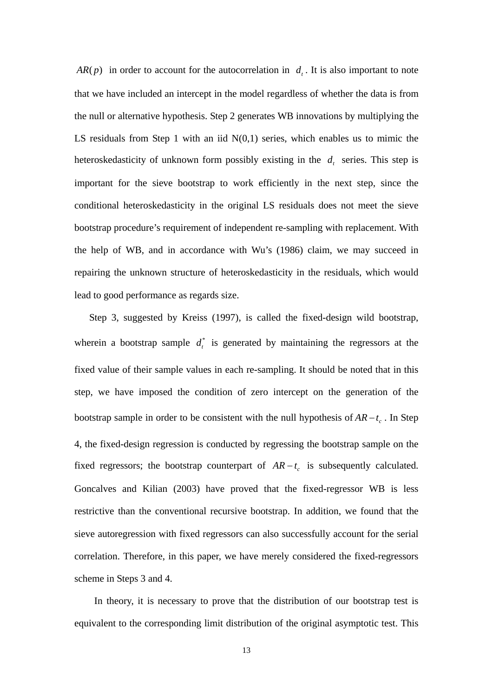$AR(p)$  in order to account for the autocorrelation in  $d<sub>r</sub>$ . It is also important to note that we have included an intercept in the model regardless of whether the data is from the null or alternative hypothesis. Step 2 generates WB innovations by multiplying the LS residuals from Step 1 with an iid  $N(0,1)$  series, which enables us to mimic the heteroskedasticity of unknown form possibly existing in the  $d_t$  series. This step is important for the sieve bootstrap to work efficiently in the next step, since the conditional heteroskedasticity in the original LS residuals does not meet the sieve bootstrap procedure's requirement of independent re-sampling with replacement. With the help of WB, and in accordance with Wu's (1986) claim, we may succeed in repairing the unknown structure of heteroskedasticity in the residuals, which would lead to good performance as regards size.

Step 3, suggested by Kreiss (1997), is called the fixed-design wild bootstrap, wherein a bootstrap sample  $d_t^*$  is generated by maintaining the regressors at the fixed value of their sample values in each re-sampling. It should be noted that in this step, we have imposed the condition of zero intercept on the generation of the bootstrap sample in order to be consistent with the null hypothesis of  $AR - t_c$ . In Step 4, the fixed-design regression is conducted by regressing the bootstrap sample on the fixed regressors; the bootstrap counterpart of  $AR - t_c$  is subsequently calculated. Goncalves and Kilian (2003) have proved that the fixed-regressor WB is less restrictive than the conventional recursive bootstrap. In addition, we found that the sieve autoregression with fixed regressors can also successfully account for the serial correlation. Therefore, in this paper, we have merely considered the fixed-regressors scheme in Steps 3 and 4.

 In theory, it is necessary to prove that the distribution of our bootstrap test is equivalent to the corresponding limit distribution of the original asymptotic test. This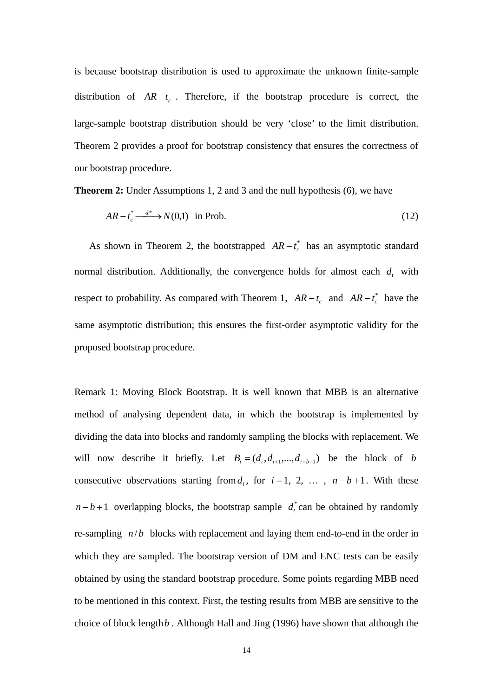is because bootstrap distribution is used to approximate the unknown finite-sample distribution of  $AR - t_c$ . Therefore, if the bootstrap procedure is correct, the large-sample bootstrap distribution should be very 'close' to the limit distribution. Theorem 2 provides a proof for bootstrap consistency that ensures the correctness of our bootstrap procedure.

**Theorem 2:** Under Assumptions 1, 2 and 3 and the null hypothesis (6), we have

$$
AR - t_c^* \xrightarrow{d^*} N(0,1) \quad \text{in Prob.} \tag{12}
$$

As shown in Theorem 2, the bootstrapped  $AR - t_c^*$  has an asymptotic standard normal distribution. Additionally, the convergence holds for almost each  $d_t$ , with respect to probability. As compared with Theorem 1,  $AR - t_c$  and  $AR - t_c^*$  have the same asymptotic distribution; this ensures the first-order asymptotic validity for the proposed bootstrap procedure.

Remark 1: Moving Block Bootstrap. It is well known that MBB is an alternative method of analysing dependent data, in which the bootstrap is implemented by dividing the data into blocks and randomly sampling the blocks with replacement. We will now describe it briefly. Let  $B_i = (d_i, d_{i+1},..., d_{i+b-1})$  be the block of *b* consecutive observations starting from  $d_i$ , for  $i = 1, 2, \ldots, n - b + 1$ . With these  $n - b + 1$  overlapping blocks, the bootstrap sample  $d_t^*$  can be obtained by randomly re-sampling  $n/b$  blocks with replacement and laying them end-to-end in the order in which they are sampled. The bootstrap version of DM and ENC tests can be easily obtained by using the standard bootstrap procedure. Some points regarding MBB need to be mentioned in this context. First, the testing results from MBB are sensitive to the choice of block length*b* . Although Hall and Jing (1996) have shown that although the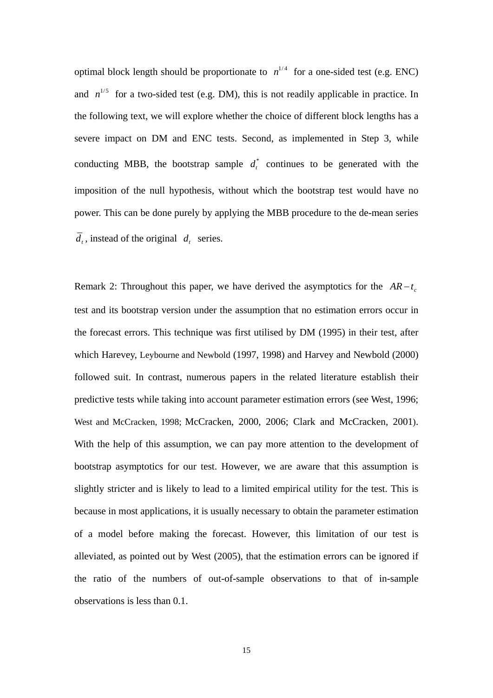optimal block length should be proportionate to  $n^{1/4}$  for a one-sided test (e.g. ENC) and  $n^{1/5}$  for a two-sided test (e.g. DM), this is not readily applicable in practice. In the following text, we will explore whether the choice of different block lengths has a severe impact on DM and ENC tests. Second, as implemented in Step 3, while conducting MBB, the bootstrap sample  $d_t^*$  continues to be generated with the imposition of the null hypothesis, without which the bootstrap test would have no power. This can be done purely by applying the MBB procedure to the de-mean series  $\overline{d}_{t}$ , instead of the original  $d_{t}$  series.

Remark 2: Throughout this paper, we have derived the asymptotics for the  $AR - t_c$ test and its bootstrap version under the assumption that no estimation errors occur in the forecast errors. This technique was first utilised by DM (1995) in their test, after which Harevey, Leybourne and Newbold (1997, 1998) and Harvey and Newbold (2000) followed suit. In contrast, numerous papers in the related literature establish their predictive tests while taking into account parameter estimation errors (see West, 1996; West and McCracken, 1998; McCracken, 2000, 2006; Clark and McCracken, 2001). With the help of this assumption, we can pay more attention to the development of bootstrap asymptotics for our test. However, we are aware that this assumption is slightly stricter and is likely to lead to a limited empirical utility for the test. This is because in most applications, it is usually necessary to obtain the parameter estimation of a model before making the forecast. However, this limitation of our test is alleviated, as pointed out by West (2005), that the estimation errors can be ignored if the ratio of the numbers of out-of-sample observations to that of in-sample observations is less than 0.1.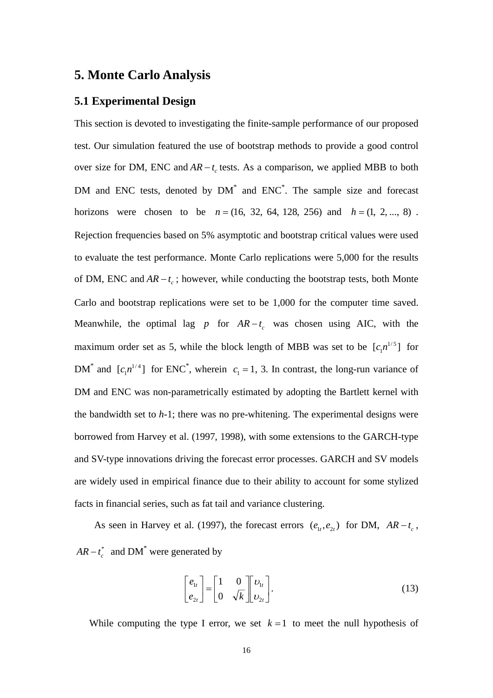#### **5. Monte Carlo Analysis**

#### **5.1 Experimental Design**

This section is devoted to investigating the finite-sample performance of our proposed test. Our simulation featured the use of bootstrap methods to provide a good control over size for DM, ENC and  $AR - t_c$  tests. As a comparison, we applied MBB to both DM and ENC tests, denoted by DM<sup>\*</sup> and ENC<sup>\*</sup>. The sample size and forecast horizons were chosen to be  $n = (16, 32, 64, 128, 256)$  and  $h = (1, 2, ..., 8)$ . Rejection frequencies based on 5% asymptotic and bootstrap critical values were used to evaluate the test performance. Monte Carlo replications were 5,000 for the results of DM, ENC and  $AR - t_c$ ; however, while conducting the bootstrap tests, both Monte Carlo and bootstrap replications were set to be 1,000 for the computer time saved. Meanwhile, the optimal lag *p* for  $AR - t_c$  was chosen using AIC, with the maximum order set as 5, while the block length of MBB was set to be  $[c_1n^{1/5}]$  for DM<sup>\*</sup> and  $[c_1n^{1/4}]$  for ENC<sup>\*</sup>, wherein  $c_1 = 1$ , 3. In contrast, the long-run variance of DM and ENC was non-parametrically estimated by adopting the Bartlett kernel with the bandwidth set to *h*-1; there was no pre-whitening. The experimental designs were borrowed from Harvey et al. (1997, 1998), with some extensions to the GARCH-type and SV-type innovations driving the forecast error processes. GARCH and SV models are widely used in empirical finance due to their ability to account for some stylized facts in financial series, such as fat tail and variance clustering.

As seen in Harvey et al. (1997), the forecast errors  $(e_1, e_2, e_1)$  for DM,  $AR - t_c$ ,  $AR - t_c^*$  and DM<sup>\*</sup> were generated by

$$
\begin{bmatrix} e_{1t} \\ e_{2t} \end{bmatrix} = \begin{bmatrix} 1 & 0 \\ 0 & \sqrt{k} \end{bmatrix} \begin{bmatrix} v_{1t} \\ v_{2t} \end{bmatrix}.
$$
 (13)

While computing the type I error, we set  $k = 1$  to meet the null hypothesis of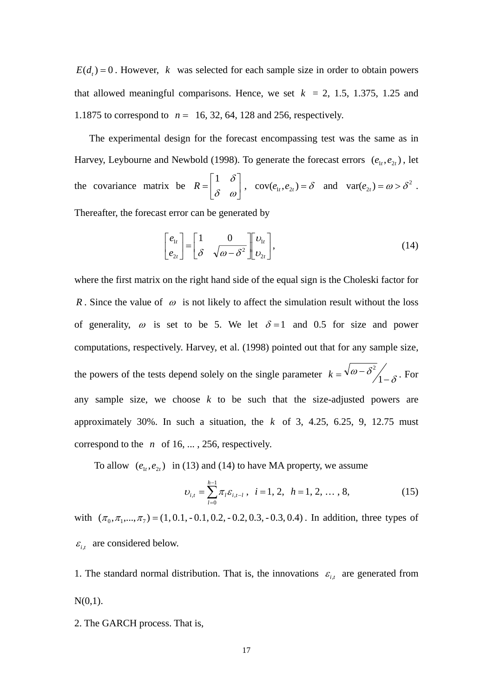$E(d<sub>i</sub>) = 0$ . However, *k* was selected for each sample size in order to obtain powers that allowed meaningful comparisons. Hence, we set  $k = 2, 1.5, 1.375, 1.25$  and 1.1875 to correspond to  $n = 16, 32, 64, 128$  and 256, respectively.

The experimental design for the forecast encompassing test was the same as in Harvey, Leybourne and Newbold (1998). To generate the forecast errors  $(e_1, e_2, e_3)$ , let the covariance matrix be  $R = \begin{bmatrix} 1 & 0 \\ 0 & 0 \end{bmatrix}$  $\overline{\phantom{a}}$  $\begin{vmatrix} 1 & \delta \\ s & \delta \end{vmatrix}$  $R = \begin{bmatrix} 1 & \delta \\ \delta & \omega \end{bmatrix}$ ,  $cov(e_{1t}, e_{2t}) = \delta$  and  $var(e_{2t}) = \omega > \delta^2$ . Thereafter, the forecast error can be generated by

$$
\begin{bmatrix} e_{1t} \\ e_{2t} \end{bmatrix} = \begin{bmatrix} 1 & 0 \\ \delta & \sqrt{\omega - \delta^2} \end{bmatrix} \begin{bmatrix} v_{1t} \\ v_{2t} \end{bmatrix},
$$
\n(14)

⎣

 $\overline{\phantom{a}}$ 

 $\lfloor e_{2t} \rfloor$   $\lfloor \delta \sqrt{\omega - \delta^2} \rfloor \lfloor v_{2t} \rfloor$ 

 $\begin{bmatrix} e_{2t} \end{bmatrix} \begin{bmatrix} \delta & \sqrt{\omega-\delta^2} \end{bmatrix} v_2$ 

*t*

2

 $\overline{\phantom{a}}$ 

where the first matrix on the right hand side of the equal sign is the Choleski factor for *R*. Since the value of  $\omega$  is not likely to affect the simulation result without the loss of generality,  $\omega$  is set to be 5. We let  $\delta = 1$  and 0.5 for size and power computations, respectively. Harvey, et al. (1998) pointed out that for any sample size, the powers of the tests depend solely on the single parameter  $k = \sqrt{\omega - \delta^2/1 - \delta^2}$ . For any sample size, we choose *k* to be such that the size-adjusted powers are approximately 30%. In such a situation, the *k* of 3, 4.25, 6.25, 9, 12.75 must correspond to the  $n \text{ of } 16, \ldots, 256$ , respectively.

To allow  $(e_{1t}, e_{2t})$  in (13) and (14) to have MA property, we assume

$$
v_{i,t} = \sum_{l=0}^{h-1} \pi_l \varepsilon_{i,t-l} \,, \quad i = 1, 2, \quad h = 1, 2, \dots, 8,
$$
 (15)

with  $(\pi_0, \pi_1, ..., \pi_7) = (1, 0.1, -0.1, 0.2, -0.2, 0.3, -0.3, 0.4)$ . In addition, three types of  $\varepsilon_{i,t}$  are considered below.

1. The standard normal distribution. That is, the innovations  $\varepsilon_{i,t}$  are generated from  $N(0,1)$ .

2. The GARCH process. That is,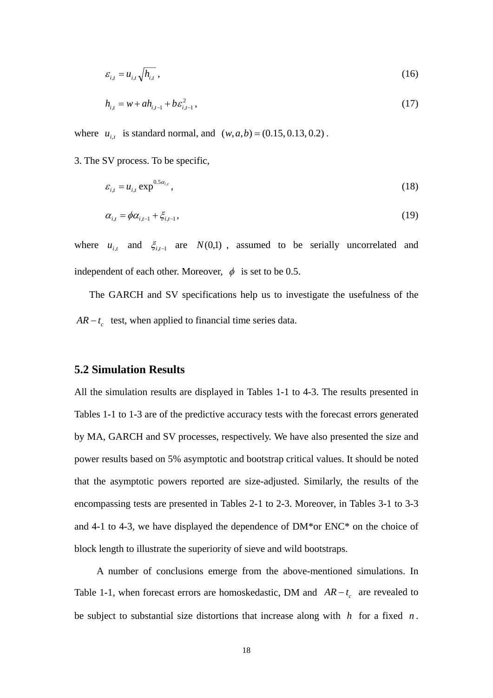$$
\varepsilon_{i,t} = u_{i,t} \sqrt{h_{i,t}} \,, \tag{16}
$$

$$
h_{i,t} = w + ah_{i,t-1} + b\varepsilon_{i,t-1}^2, \tag{17}
$$

where  $u_{i}$ , is standard normal, and  $(w, a, b) = (0.15, 0.13, 0.2)$ .

3. The SV process. To be specific,

$$
\varepsilon_{i,t} = u_{i,t} \exp^{0.5 \alpha_{i,t}}, \tag{18}
$$

$$
\alpha_{i,t} = \phi \alpha_{i,t-1} + \xi_{i,t-1},\tag{19}
$$

where  $u_{i,t}$  and  $\xi_{i,t-1}$  are  $N(0,1)$ , assumed to be serially uncorrelated and independent of each other. Moreover,  $\phi$  is set to be 0.5.

The GARCH and SV specifications help us to investigate the usefulness of the  $AR - t_c$  test, when applied to financial time series data.

#### **5.2 Simulation Results**

All the simulation results are displayed in Tables 1-1 to 4-3. The results presented in Tables 1-1 to 1-3 are of the predictive accuracy tests with the forecast errors generated by MA, GARCH and SV processes, respectively. We have also presented the size and power results based on 5% asymptotic and bootstrap critical values. It should be noted that the asymptotic powers reported are size-adjusted. Similarly, the results of the encompassing tests are presented in Tables 2-1 to 2-3. Moreover, in Tables 3-1 to 3-3 and 4-1 to 4-3, we have displayed the dependence of DM\*or ENC\* on the choice of block length to illustrate the superiority of sieve and wild bootstraps.

A number of conclusions emerge from the above-mentioned simulations. In Table 1-1, when forecast errors are homoskedastic, DM and  $AR - t_c$  are revealed to be subject to substantial size distortions that increase along with  $h$  for a fixed  $n$ .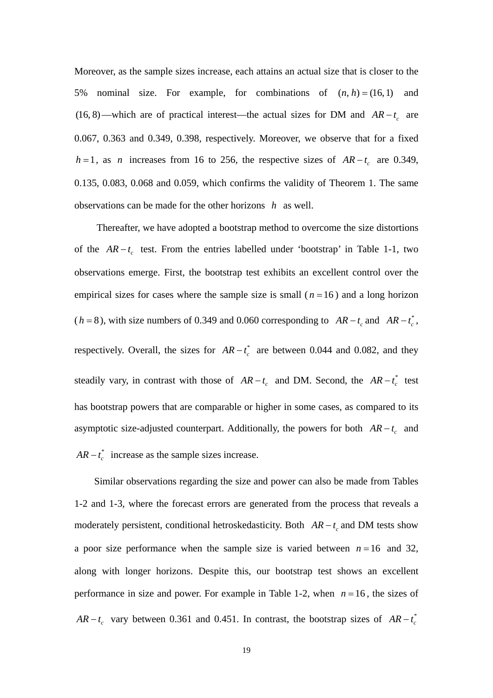Moreover, as the sample sizes increase, each attains an actual size that is closer to the 5% nominal size. For example, for combinations of  $(n, h) = (16, 1)$  and (16, 8)—which are of practical interest—the actual sizes for DM and  $AR - t_c$  are 0.067, 0.363 and 0.349, 0.398, respectively. Moreover, we observe that for a fixed  $h = 1$ , as *n* increases from 16 to 256, the respective sizes of  $AR - t_c$  are 0.349, 0.135, 0.083, 0.068 and 0.059, which confirms the validity of Theorem 1. The same observations can be made for the other horizons *h* as well.

Thereafter, we have adopted a bootstrap method to overcome the size distortions of the  $AR-t_c$  test. From the entries labelled under 'bootstrap' in Table 1-1, two observations emerge. First, the bootstrap test exhibits an excellent control over the empirical sizes for cases where the sample size is small  $(n=16)$  and a long horizon  $(h = 8)$ , with size numbers of 0.349 and 0.060 corresponding to  $AR - t_c$  and  $AR - t_c^*$ , respectively. Overall, the sizes for  $AR - t_c^*$  are between 0.044 and 0.082, and they steadily vary, in contrast with those of  $AR - t_c$  and DM. Second, the  $AR - t_c^*$  test has bootstrap powers that are comparable or higher in some cases, as compared to its asymptotic size-adjusted counterpart. Additionally, the powers for both  $AR - t_c$  and  $AR - t_c^*$  increase as the sample sizes increase.

 Similar observations regarding the size and power can also be made from Tables 1-2 and 1-3, where the forecast errors are generated from the process that reveals a moderately persistent, conditional hetroskedasticity. Both  $AR - t_c$  and DM tests show a poor size performance when the sample size is varied between  $n = 16$  and 32, along with longer horizons. Despite this, our bootstrap test shows an excellent performance in size and power. For example in Table 1-2, when  $n = 16$ , the sizes of  $AR - t_c$  vary between 0.361 and 0.451. In contrast, the bootstrap sizes of  $AR - t_c^*$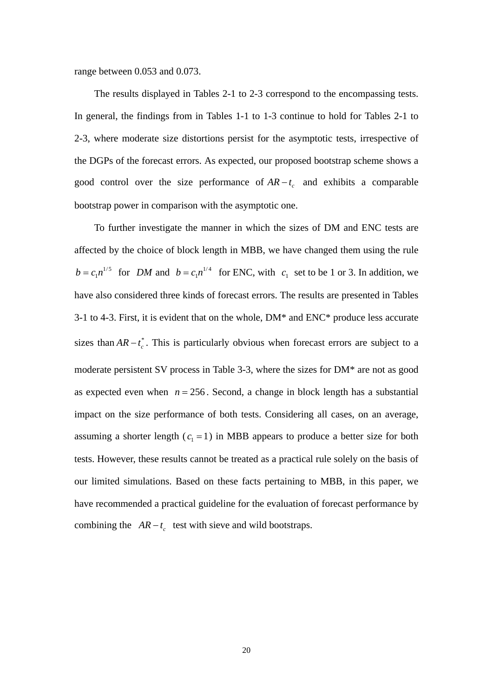range between 0.053 and 0.073.

 The results displayed in Tables 2-1 to 2-3 correspond to the encompassing tests. In general, the findings from in Tables 1-1 to 1-3 continue to hold for Tables 2-1 to 2-3, where moderate size distortions persist for the asymptotic tests, irrespective of the DGPs of the forecast errors. As expected, our proposed bootstrap scheme shows a good control over the size performance of  $AR - t_c$  and exhibits a comparable bootstrap power in comparison with the asymptotic one.

 To further investigate the manner in which the sizes of DM and ENC tests are affected by the choice of block length in MBB, we have changed them using the rule  $b = c_1 n^{1/5}$  for *DM* and  $b = c_1 n^{1/4}$  for ENC, with  $c_1$  set to be 1 or 3. In addition, we have also considered three kinds of forecast errors. The results are presented in Tables 3-1 to 4-3. First, it is evident that on the whole, DM\* and ENC\* produce less accurate sizes than  $AR - t_c^*$ . This is particularly obvious when forecast errors are subject to a moderate persistent SV process in Table 3-3, where the sizes for DM\* are not as good as expected even when  $n = 256$ . Second, a change in block length has a substantial impact on the size performance of both tests. Considering all cases, on an average, assuming a shorter length  $(c_1 = 1)$  in MBB appears to produce a better size for both tests. However, these results cannot be treated as a practical rule solely on the basis of our limited simulations. Based on these facts pertaining to MBB, in this paper, we have recommended a practical guideline for the evaluation of forecast performance by combining the  $AR - t_c$  test with sieve and wild bootstraps.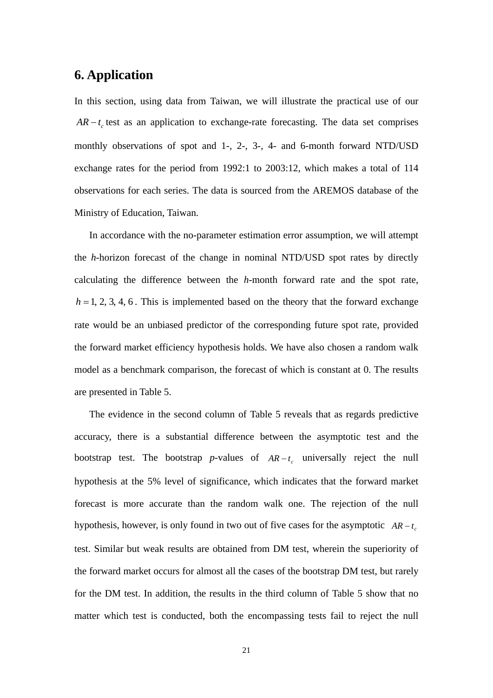## **6. Application**

In this section, using data from Taiwan, we will illustrate the practical use of our  $AR - t$  test as an application to exchange-rate forecasting. The data set comprises monthly observations of spot and 1-, 2-, 3-, 4- and 6-month forward NTD/USD exchange rates for the period from 1992:1 to 2003:12, which makes a total of 114 observations for each series. The data is sourced from the AREMOS database of the Ministry of Education, Taiwan.

In accordance with the no-parameter estimation error assumption, we will attempt the *h*-horizon forecast of the change in nominal NTD/USD spot rates by directly calculating the difference between the *h*-month forward rate and the spot rate,  $h = 1, 2, 3, 4, 6$ . This is implemented based on the theory that the forward exchange rate would be an unbiased predictor of the corresponding future spot rate, provided the forward market efficiency hypothesis holds. We have also chosen a random walk model as a benchmark comparison, the forecast of which is constant at 0. The results are presented in Table 5.

The evidence in the second column of Table 5 reveals that as regards predictive accuracy, there is a substantial difference between the asymptotic test and the bootstrap test. The bootstrap *p*-values of  $AR-t_c$  universally reject the null hypothesis at the 5% level of significance, which indicates that the forward market forecast is more accurate than the random walk one. The rejection of the null hypothesis, however, is only found in two out of five cases for the asymptotic  $AR - t_c$ test. Similar but weak results are obtained from DM test, wherein the superiority of the forward market occurs for almost all the cases of the bootstrap DM test, but rarely for the DM test. In addition, the results in the third column of Table 5 show that no matter which test is conducted, both the encompassing tests fail to reject the null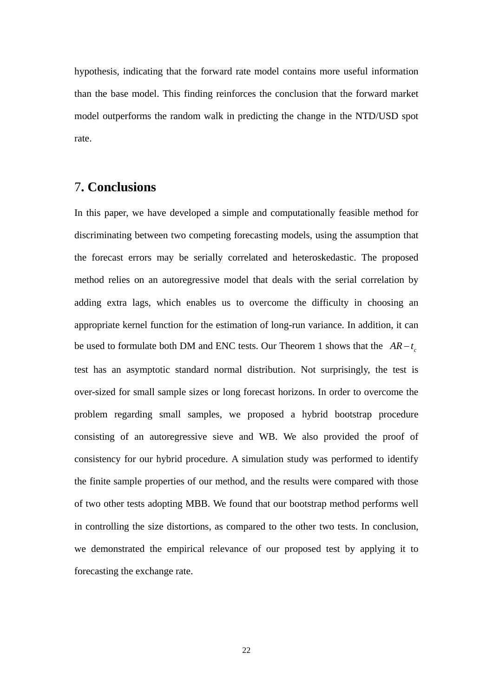hypothesis, indicating that the forward rate model contains more useful information than the base model. This finding reinforces the conclusion that the forward market model outperforms the random walk in predicting the change in the NTD/USD spot rate.

#### 7**. Conclusions**

In this paper, we have developed a simple and computationally feasible method for discriminating between two competing forecasting models, using the assumption that the forecast errors may be serially correlated and heteroskedastic. The proposed method relies on an autoregressive model that deals with the serial correlation by adding extra lags, which enables us to overcome the difficulty in choosing an appropriate kernel function for the estimation of long-run variance. In addition, it can be used to formulate both DM and ENC tests. Our Theorem 1 shows that the  $AR - t_c$ test has an asymptotic standard normal distribution. Not surprisingly, the test is over-sized for small sample sizes or long forecast horizons. In order to overcome the problem regarding small samples, we proposed a hybrid bootstrap procedure consisting of an autoregressive sieve and WB. We also provided the proof of consistency for our hybrid procedure. A simulation study was performed to identify the finite sample properties of our method, and the results were compared with those of two other tests adopting MBB. We found that our bootstrap method performs well in controlling the size distortions, as compared to the other two tests. In conclusion, we demonstrated the empirical relevance of our proposed test by applying it to forecasting the exchange rate.

22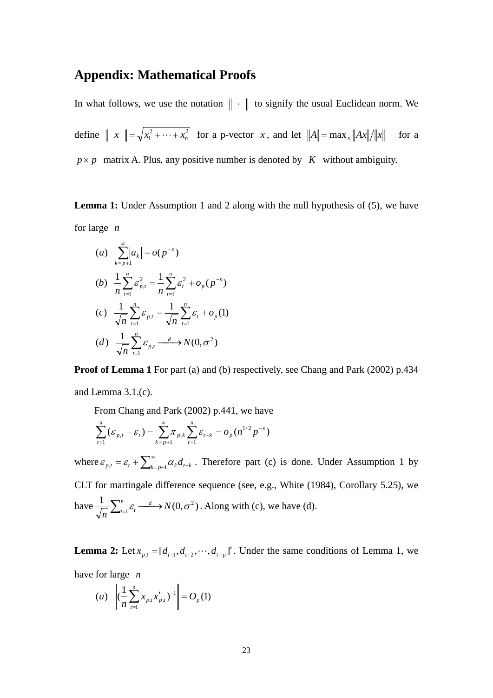#### **Appendix: Mathematical Proofs**

In what follows, we use the notation  $\|\cdot\|$  to signify the usual Euclidean norm. We define  $\| x \| = \sqrt{x_1^2 + \dots + x_n^2}$  for a p-vector *x*, and let  $\|A\| = \max_x \|Ax\|/\|x\|$  for a  $p \times p$  matrix A. Plus, any positive number is denoted by *K* without ambiguity.

**Lemma 1:** Under Assumption 1 and 2 along with the null hypothesis of (5), we have for large *n*

(a) 
$$
\sum_{k=p+1}^{\infty} |a_k| = o(p^{-s})
$$
  
\n(b) 
$$
\frac{1}{n} \sum_{t=1}^{n} \varepsilon_{p,t}^2 = \frac{1}{n} \sum_{t=1}^{n} \varepsilon_t^2 + o_p(p^{-s})
$$
  
\n(c) 
$$
\frac{1}{\sqrt{n}} \sum_{t=1}^{n} \varepsilon_{p,t} = \frac{1}{\sqrt{n}} \sum_{t=1}^{n} \varepsilon_t + o_p(1)
$$
  
\n(d) 
$$
\frac{1}{\sqrt{n}} \sum_{t=1}^{n} \varepsilon_{p,t} \xrightarrow{d} N(0, \sigma^2)
$$

**Proof of Lemma 1** For part (a) and (b) respectively, see Chang and Park (2002) p.434 and Lemma 3.1.(c).

From Chang and Park (2002) p.441, we have

$$
\sum_{t=1}^{n} (\varepsilon_{p,t} - \varepsilon_t) = \sum_{k=p+1}^{\infty} \pi_{p,k} \sum_{t=1}^{n} \varepsilon_{t-k} = o_p(n^{1/2} p^{-s})
$$

where  $\varepsilon_{p,t} = \varepsilon_t + \sum_{k=p+1}^{\infty} \alpha_k d_{t-k}$ . Therefore part (c) is done. Under Assumption 1 by CLT for martingale difference sequence (see, e.g., White (1984), Corollary 5.25), we have  $\frac{1}{\sqrt{n}} \sum_{t=1}^{n} \varepsilon_t \xrightarrow{d} N(0, \sigma^2)$ *n*  $\sum_{i=1}^{n} \varepsilon_i \xrightarrow{d} N(0, \sigma^2)$ . Along with (c), we have (d).

**Lemma 2:** Let  $x_{p,t} = [d_{t-1}, d_{t-2}, \dots, d_{t-p}]'$ . Under the same conditions of Lemma 1, we have for large *n*

(a) 
$$
\left\| \left( \frac{1}{n} \sum_{t=1}^{n} x_{p,t} x'_{p,t} \right)^{-1} \right\| = O_p(1)
$$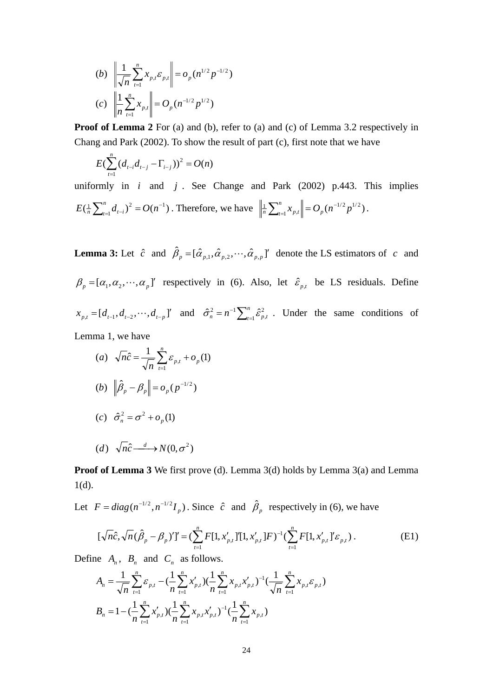(b) 
$$
\left\| \frac{1}{\sqrt{n}} \sum_{t=1}^{n} x_{p,t} \mathcal{E}_{p,t} \right\| = o_p(n^{1/2} p^{-1/2})
$$
  
(c) 
$$
\left\| \frac{1}{n} \sum_{t=1}^{n} x_{p,t} \right\| = O_p(n^{-1/2} p^{1/2})
$$

**Proof of Lemma 2** For (a) and (b), refer to (a) and (c) of Lemma 3.2 respectively in Chang and Park (2002). To show the result of part (c), first note that we have

$$
E(\sum_{t=1}^{n} (d_{t-i}d_{t-j} - \Gamma_{i-j}))^{2} = O(n)
$$

uniformly in *i* and *j* . See Change and Park (2002) p.443. This implies  $\left(\frac{1}{n}\sum_{t=1}^n d_{t-i}\right)^2 = O(n^{-1})$  $E(\frac{1}{n}\sum_{t=1}^{n}d_{t-i})^2 = O(n^{-1})$ . Therefore, we have  $\left\|\frac{1}{n}\sum_{t=1}^{n}x_{p,t}\right\| = O_p(n^{-1/2}p^{1/2})$  $\sum_{t=1}^{\infty}$   $\sum_{p,i}$  $\sum_{t=1}^n x_{p,t}$  =  $O_p(n^{-1/2}p^{1/2})$ .

**Lemma 3:** Let  $\hat{c}$  and  $\hat{\beta}_p = [\hat{\alpha}_{p,1}, \hat{\alpha}_{p,2}, \dots, \hat{\alpha}_{p,p}]'$  denote the LS estimators of *c* and  $\beta_p = [\alpha_1, \alpha_2, \cdots, \alpha_p]$ ' respectively in (6). Also, let  $\hat{\varepsilon}_{p,t}$  be LS residuals. Define  $[x_{p,t} = [d_{t-1}, d_{t-2}, \cdots, d_{t-p}]'$  and  $\hat{\sigma}_n^2 = n^{-1} \sum_{t=1}^n \hat{\epsilon}_{p,t}^2$ 2  $\hat{\sigma}_n^2 = n^{-1} \sum_{t=1}^n \hat{\epsilon}_{p,t}^2$ . Under the same conditions of Lemma 1, we have

(a) 
$$
\sqrt{n}\hat{c} = \frac{1}{\sqrt{n}} \sum_{t=1}^{n} \varepsilon_{p,t} + o_p(1)
$$
  
\n(b)  $\|\hat{\beta}_p - \beta_p\| = o_p(p^{-1/2})$   
\n(c)  $\hat{\sigma}_n^2 = \sigma^2 + o_p(1)$   
\n(d)  $\sqrt{n}\hat{c} \xrightarrow{d} N(0, \sigma^2)$ 

**Proof of Lemma 3** We first prove (d). Lemma 3(d) holds by Lemma 3(a) and Lemma 1(d).

Let  $F = diag(n^{-1/2}, n^{-1/2}I_p)$ . Since  $\hat{c}$  and  $\hat{\beta}_p$  respectively in (6), we have

$$
[\sqrt{n}\hat{c}, \sqrt{n}(\hat{\beta}_p - \beta_p)']' = (\sum_{t=1}^n F[1, x'_{p,t}]]'[1, x'_{p,t}]F)^{-1} (\sum_{t=1}^n F[1, x'_{p,t}]'\varepsilon_{p,t}).
$$
 (E1)

Define  $A_n$ ,  $B_n$  and  $C_n$  as follows.

$$
A_n = \frac{1}{\sqrt{n}} \sum_{t=1}^n \mathcal{E}_{p,t} - \left(\frac{1}{n} \sum_{t=1}^n x'_{p,t}\right) \left(\frac{1}{n} \sum_{t=1}^n x_{p,t} x'_{p,t}\right)^{-1} \left(\frac{1}{\sqrt{n}} \sum_{t=1}^n x_{p,t} \mathcal{E}_{p,t}\right)
$$
  

$$
B_n = 1 - \left(\frac{1}{n} \sum_{t=1}^n x'_{p,t}\right) \left(\frac{1}{n} \sum_{t=1}^n x_{p,t} x'_{p,t}\right)^{-1} \left(\frac{1}{n} \sum_{t=1}^n x_{p,t}\right)
$$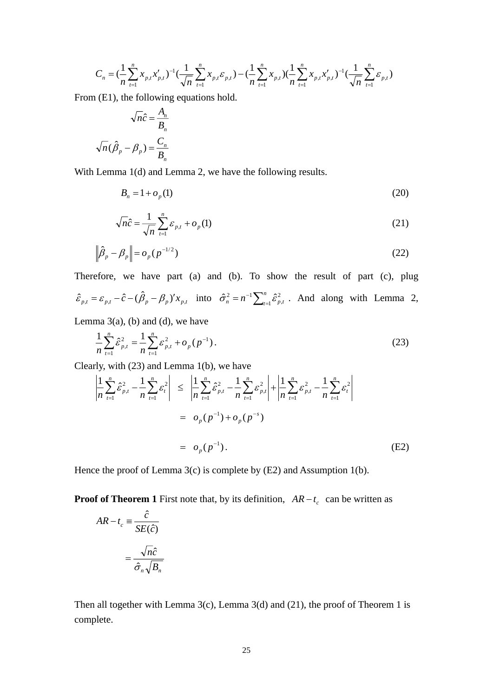$$
C_n = \left(\frac{1}{n}\sum_{t=1}^n x_{p,t} x'_{p,t}\right)^{-1} \left(\frac{1}{\sqrt{n}}\sum_{t=1}^n x_{p,t} \varepsilon_{p,t}\right) - \left(\frac{1}{n}\sum_{t=1}^n x_{p,t}\right) \left(\frac{1}{n}\sum_{t=1}^n x_{p,t} x'_{p,t}\right)^{-1} \left(\frac{1}{\sqrt{n}}\sum_{t=1}^n \varepsilon_{p,t}\right)
$$

From (E1), the following equations hold.

$$
\sqrt{n}\hat{c} = \frac{A_n}{B_n}
$$

$$
\sqrt{n}(\hat{\beta}_p - \beta_p) = \frac{C_n}{B_n}
$$

With Lemma 1(d) and Lemma 2, we have the following results.

$$
B_n = 1 + o_p(1) \tag{20}
$$

$$
\sqrt{n}\hat{c} = \frac{1}{\sqrt{n}}\sum_{t=1}^{n} \varepsilon_{p,t} + o_p(1)
$$
\n(21)

$$
\left\|\hat{\beta}_p - \beta_p\right\| = o_p(p^{-1/2})\tag{22}
$$

Therefore, we have part (a) and (b). To show the result of part (c), plug  $\hat{\epsilon}_{p,t} = \epsilon_{p,t} - \hat{c} - (\hat{\beta}_p - \beta_p)' x_{p,t}$  into  $\hat{\sigma}_n^2 = n^{-1} \sum_{t=1}^n \hat{\epsilon}_{p,t}^2$ 2  $\hat{\sigma}_n^2 = n^{-1} \sum_{i=1}^n \hat{\epsilon}_{p,t}^2$ . And along with Lemma 2,

Lemma  $3(a)$ , (b) and (d), we have

$$
\frac{1}{n}\sum_{t=1}^{n}\hat{\varepsilon}_{p,t}^{2} = \frac{1}{n}\sum_{t=1}^{n}\varepsilon_{p,t}^{2} + o_{p}(p^{-1}).
$$
\n(23)

Clearly, with (23) and Lemma 1(b), we have

Clearly, with (23) and Lemma 1(b), we have  
\n
$$
\left| \frac{1}{n} \sum_{t=1}^{n} \hat{\varepsilon}_{p,t}^{2} - \frac{1}{n} \sum_{t=1}^{n} \varepsilon_{t}^{2} \right| \leq \left| \frac{1}{n} \sum_{t=1}^{n} \hat{\varepsilon}_{p,t}^{2} - \frac{1}{n} \sum_{t=1}^{n} \varepsilon_{p,t}^{2} \right| + \left| \frac{1}{n} \sum_{t=1}^{n} \varepsilon_{p,t}^{2} - \frac{1}{n} \sum_{t=1}^{n} \varepsilon_{t}^{2} \right|
$$
\n
$$
= o_{p}(p^{-1}) + o_{p}(p^{-s})
$$
\n
$$
= o_{p}(p^{-1}). \tag{E2}
$$

Hence the proof of Lemma 3(c) is complete by (E2) and Assumption 1(b).

**Proof of Theorem 1** First note that, by its definition,  $AR - t_c$  can be written as

$$
AR - t_c \equiv \frac{\hat{c}}{SE(\hat{c})}
$$

$$
= \frac{\sqrt{n}\hat{c}}{\hat{\sigma}_n \sqrt{B_n}}
$$

Then all together with Lemma  $3(c)$ , Lemma  $3(d)$  and  $(21)$ , the proof of Theorem 1 is complete.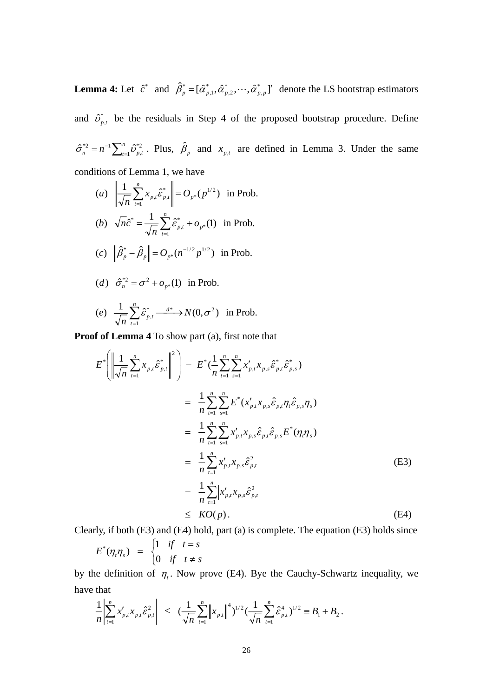**Lemma 4:** Let  $\hat{c}^*$  and  $\hat{\beta}_p^* = [\hat{\alpha}_{p,1}^*, \hat{\alpha}_{p,2}^*, \dots, \hat{\alpha}_{p,p}^*]$ \* ,2 \*  $\hat{\beta}_p^* = [\hat{\alpha}_{p,1}^*, \hat{\alpha}_{p,2}^*, \cdots, \hat{\alpha}_{p,p}^*]$  denote the LS bootstrap estimators and  $\hat{v}_{p,t}^*$  be the residuals in Step 4 of the proposed bootstrap procedure. Define  $\sum_{n=1}^{n} \hat{U}_{p,t}^{*2}$ \*2  $\hat{\sigma}_n^{*2} = n^{-1} \sum_{t=1}^n \hat{v}_{p,t}^{*2}$ . Plus,  $\hat{\beta}_p$  and  $x_{p,t}$  are defined in Lemma 3. Under the same conditions of Lemma 1, we have

(a) 
$$
\left\| \frac{1}{\sqrt{n}} \sum_{t=1}^{n} x_{p,t} \hat{\varepsilon}_{p,t}^{*} \right\| = O_{p^{*}}(p^{1/2})
$$
 in Prob.  
\n(b)  $\sqrt{n} \hat{c}^{*} = \frac{1}{\sqrt{n}} \sum_{t=1}^{n} \hat{\varepsilon}_{p,t}^{*} + o_{p^{*}}(1)$  in Prob.  
\n(c)  $\left\| \hat{\beta}_{p}^{*} - \hat{\beta}_{p} \right\| = O_{p^{*}}(n^{-1/2}p^{1/2})$  in Prob.  
\n(d)  $\hat{\sigma}_{n}^{*2} = \sigma^{2} + o_{p^{*}}(1)$  in Prob.  
\n(e)  $\frac{1}{\sqrt{n}} \sum_{t=1}^{n} \hat{\varepsilon}_{p,t}^{*} \xrightarrow{d^{*}} N(0, \sigma^{2})$  in Prob.

**Proof of Lemma 4** To show part (a), first note that

$$
E^*\left(\left\|\frac{1}{\sqrt{n}}\sum_{t=1}^n x_{p,t}\hat{\varepsilon}_{p,t}^*\right\|^2\right) = E^*\left(\frac{1}{n}\sum_{t=1}^n\sum_{s=1}^n x'_{p,t}x_{p,s}\hat{\varepsilon}_{p,t}\hat{\varepsilon}_{p,s}^*\right)
$$
  
\n
$$
= \frac{1}{n}\sum_{t=1}^n\sum_{s=1}^n E^*(x'_{p,t}x_{p,s}\hat{\varepsilon}_{p,t}\eta_t\hat{\varepsilon}_{p,s}\eta_s)
$$
  
\n
$$
= \frac{1}{n}\sum_{t=1}^n\sum_{s=1}^n x'_{p,t}x_{p,s}\hat{\varepsilon}_{p,t}\hat{\varepsilon}_{p,s}E^*(\eta_t\eta_s)
$$
  
\n
$$
= \frac{1}{n}\sum_{t=1}^n x'_{p,t}x_{p,s}\hat{\varepsilon}_{p,t}^2
$$
  
\n
$$
= \frac{1}{n}\sum_{t=1}^n \left| x'_{p,t}x_{p,s}\hat{\varepsilon}_{p,t}^2 \right|
$$
  
\n
$$
\leq KO(p).
$$
 (E4)

Clearly, if both (E3) and (E4) hold, part (a) is complete. The equation (E3) holds since

$$
E^*(\eta_t \eta_s) = \begin{cases} 1 & \text{if } t = s \\ 0 & \text{if } t \neq s \end{cases}
$$

by the definition of  $\eta_t$ . Now prove (E4). Bye the Cauchy-Schwartz inequality, we have that

$$
\frac{1}{n} \left| \sum_{t=1}^n x'_{p,t} x_{p,t} \hat{\varepsilon}_{p,t}^2 \right| \leq \left( \frac{1}{\sqrt{n}} \sum_{t=1}^n \left\| x_{p,t} \right\|^4 \right)^{1/2} \left( \frac{1}{\sqrt{n}} \sum_{t=1}^n \hat{\varepsilon}_{p,t}^4 \right)^{1/2} \equiv B_1 + B_2.
$$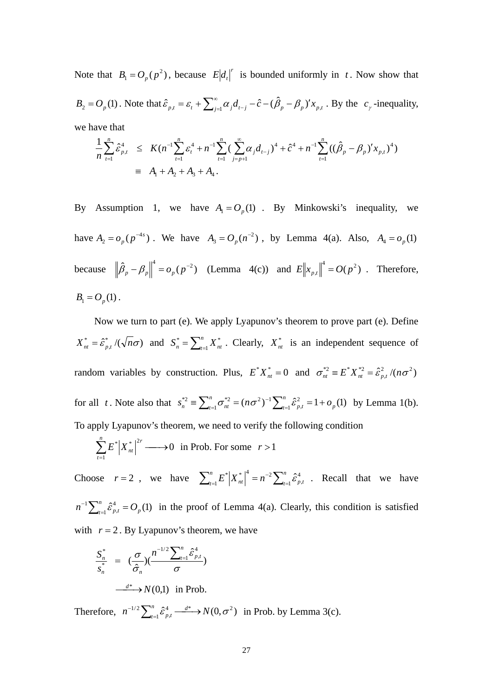Note that  $B_1 = O_p(p^2)$ , because  $E\left| d_i \right|^{r}$  is bounded uniformly in *t*. Now show that  $B_2 = O_p(1)$ . Note that  $\hat{\varepsilon}_{p,t} = \varepsilon_t + \sum_{j=1}^{\infty} \alpha_j d_{t-j} - \hat{c} - (\hat{\beta}_p - \beta_p)' x_{p,t}$ . By the  $c_{\gamma}$ -inequality, we have that

$$
\frac{1}{n} \sum_{t=1}^{n} \hat{\varepsilon}_{p,t}^{4} \leq K(n^{-1} \sum_{t=1}^{n} \varepsilon_{t}^{4} + n^{-1} \sum_{t=1}^{n} \left( \sum_{j=p+1}^{\infty} \alpha_{j} d_{t-j} \right)^{4} + \hat{c}^{4} + n^{-1} \sum_{t=1}^{n} \left( \left( \hat{\beta}_{p} - \beta_{p} \right)^{t} x_{p,t} \right)^{4} \big)
$$
\n
$$
\equiv A_{1} + A_{2} + A_{3} + A_{4}.
$$

By Assumption 1, we have  $A_1 = O_p(1)$ . By Minkowski's inequality, we have  $A_2 = o_p(p^{-4s})$  $A_2 = o_p(p^{-4s})$ . We have  $A_3 = O_p(n^{-2})$  $A_3 = O_p(n^{-2})$ , by Lemma 4(a). Also,  $A_4 = o_p(1)$ because  $\left\| \hat{\beta}_p - \beta_p \right\|^4 = o_p(p^{-2})$  (Lemma 4(c)) and  $E \left\| x_{p,t} \right\|^4 = O(p^2)$ . Therefore,  $B_1 = O_p(1)$ .

 Now we turn to part (e). We apply Lyapunov's theorem to prove part (e). Define  $X_{nt}^* = \hat{\epsilon}_{p,t}^* / (\sqrt{n\sigma})$  and  $S_n^* = \sum_{t=1}^n X_{nt}^*$ . Clearly,  $X_{nt}^*$  is an independent sequence of random variables by construction. Plus,  $E^* X_{nt}^* = 0$  and  $\sigma_{nt}^{*2} = E^* X_{nt}^{*2} = \hat{\epsilon}_{p,t}^2 / (n \sigma^2)$ for all *t*. Note also that  $s_n^{*2} = \sum_{t=1}^n \sigma_{nt}^{*2} = (n\sigma^2)^{-1} \sum_{t=1}^n \hat{\epsilon}_{p,t}^2 = 1 + \sigma^2$  $s_n^{*2} \equiv \sum_{t=1}^n \sigma_{nt}^{*2} = (n\sigma^2)^{-1} \sum_{t=1}^n \hat{\epsilon}_{p,t}^2 = 1 + o_p$ 2  $\hat{\sigma}_n^2 \equiv \sum_{t=1}^n \sigma_{nt}^{*2} = (n\sigma^2)^{-1} \sum_{t=1}^n \hat{\epsilon}_{p,t}^2 = 1 + o_p(1)$  by Lemma 1(b). To apply Lyapunov's theorem, we need to verify the following condition

$$
\sum_{t=1}^{n} E^* |X_{nt}^*|^{2r} \longrightarrow 0 \text{ in Prob. For some } r > 1
$$

Choose  $r = 2$ , we have  $\sum_{t=1}^{n} E^* |X_{nt}^*|^4 = n^{-2} \sum_{t=1}^{n} \hat{\epsilon}_{p,t}^4$  $\sum_{t=1}^{n} E^* \Big| X_{nt}^* \Big|^4 = n^{-2} \sum_{t=1}^{n}$ 4 , 2  $_{-1}E^*|X_{nt}^*|^4 = n^{-2}\sum_{t=1}^n \hat{\epsilon}_{p,t}^4$ . Recall that we have  $n^{-1} \sum_{t=1}^{n} \hat{\varepsilon}_{p,t}^{4} = O_p$ 4  $\sum_{i=1}^{n} \hat{\epsilon}_{p,t}^4 = O_p(1)$  in the proof of Lemma 4(a). Clearly, this condition is satisfied with  $r = 2$ . By Lyapunov's theorem, we have

$$
\frac{S_n^*}{S_n^*} = \left(\frac{\sigma}{\hat{\sigma}_n}\right) \left(\frac{n^{-1/2} \sum_{t=1}^n \hat{\varepsilon}_{p,t}^4}{\sigma}\right)
$$

$$
\xrightarrow{d^*} N(0,1) \text{ in Prob.}
$$

Therefore,  $n^{-1/2} \sum_{t=1}^{n} \hat{\varepsilon}_{p,t}^4 \xrightarrow{d^*} N(0,\sigma^2)$ 4 ,  $n^{-1/2} \sum_{t=1}^{n} \hat{\varepsilon}_{p,t}^4 \xrightarrow{d^*} N(0,\sigma)$  $\sum_{i=1}^{n} \hat{\epsilon}_{p,t}^4 \xrightarrow{d^*} N(0,\sigma^2)$  in Prob. by Lemma 3(c).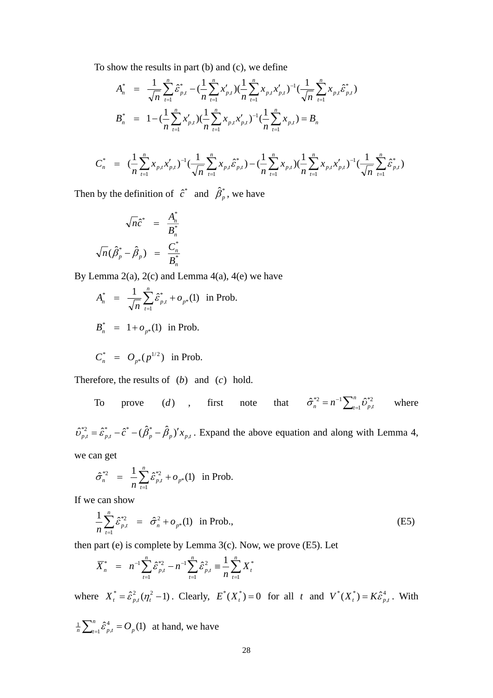To show the results in part (b) and (c), we define

$$
A_n^* = \frac{1}{\sqrt{n}} \sum_{t=1}^n \hat{\varepsilon}_{p,t}^* - \left(\frac{1}{n} \sum_{t=1}^n x'_{p,t}\right) \left(\frac{1}{n} \sum_{t=1}^n x_{p,t} x'_{p,t}\right)^{-1} \left(\frac{1}{\sqrt{n}} \sum_{t=1}^n x_{p,t} \hat{\varepsilon}_{p,t}^*\right)
$$
  
\n
$$
B_n^* = 1 - \left(\frac{1}{n} \sum_{t=1}^n x'_{p,t}\right) \left(\frac{1}{n} \sum_{t=1}^n x_{p,t} x'_{p,t}\right)^{-1} \left(\frac{1}{n} \sum_{t=1}^n x_{p,t}\right) = B_n
$$
  
\n
$$
C_n^* = \left(\frac{1}{n} \sum_{t=1}^n x_{p,t} x'_{p,t}\right)^{-1} \left(\frac{1}{\sqrt{n}} \sum_{t=1}^n x_{p,t} \hat{\varepsilon}_{p,t}^*\right) - \left(\frac{1}{n} \sum_{t=1}^n x_{p,t}\right) \left(\frac{1}{n} \sum_{t=1}^n x_{p,t} x'_{p,t}\right)^{-1} \left(\frac{1}{\sqrt{n}} \sum_{t=1}^n \hat{\varepsilon}_{p,t}^*\right)
$$

Then by the definition of  $\hat{c}^*$  and  $\hat{\beta}_p^*$ , we have

$$
\sqrt{n}\hat{c}^* = \frac{A_n^*}{B_n^*}
$$

$$
\sqrt{n}(\hat{\beta}_p^* - \hat{\beta}_p) = \frac{C_n^*}{B_n^*}
$$

By Lemma  $2(a)$ ,  $2(c)$  and Lemma  $4(a)$ ,  $4(e)$  we have

$$
A_n^* = \frac{1}{\sqrt{n}} \sum_{t=1}^n \hat{\varepsilon}_{p,t}^* + o_{p^*}(1) \text{ in Prob.}
$$
  

$$
B_n^* = 1 + o_{p^*}(1) \text{ in Prob.}
$$

$$
C_n^* = O_{p^*}(p^{1/2})
$$
 in Prob.

Therefore, the results of  $(b)$  and  $(c)$  hold.

To prove (d) , first note that 
$$
\hat{\sigma}_n^{*2} = n^{-1} \sum_{t=1}^n \hat{\sigma}_{p,t}^{*2}
$$
 where

 $\hat{\rho}^{*2}_{p,t} = \hat{\boldsymbol{\mathcal{E}}}_{p,t}^* - \hat{\boldsymbol{\mathcal{C}}}^* - (\hat{\boldsymbol{\beta}}_p^* - \hat{\boldsymbol{\beta}}_p)' \boldsymbol{x}_{p,t}$ ,  $\hat{v}_{p,t}^{*2} = \hat{\epsilon}_{p,t}^* - \hat{c}^* - (\hat{\beta}_p^* - \hat{\beta}_p)' x_{p,t}$ . Expand the above equation and along with Lemma 4,

we can get

$$
\hat{\sigma}_n^{*2} = \frac{1}{n} \sum_{t=1}^n \hat{\varepsilon}_{p,t}^{*2} + o_{p^*}(1) \text{ in Prob.}
$$

If we can show

$$
\frac{1}{n}\sum_{t=1}^{n}\hat{\varepsilon}_{p,t}^{*2} = \hat{\sigma}_n^2 + o_{p^*}(1) \text{ in Prob.},
$$
 (E5)

then part (e) is complete by Lemma 3(c). Now, we prove (E5). Let

$$
\overline{X}_n^* = n^{-1} \sum_{t=1}^n \hat{\varepsilon}_{p,t}^{*2} - n^{-1} \sum_{t=1}^n \hat{\varepsilon}_{p,t}^2 \equiv \frac{1}{n} \sum_{t=1}^n X_t^*
$$

where  $X_t^* = \hat{\epsilon}_{p,t}^2(\eta_t^2 - 1)$ . Clearly,  $E^*(X_t^*) = 0$  for all *t* and  $V^*(X_t^*) = K\hat{\epsilon}_{p,t}^4$ . With

 $\frac{1}{n}\sum_{t=1}^{n} \hat{\varepsilon}^4_{p,t} = O_p(1)$  $\frac{1}{n}\sum_{t=1}^{n} \hat{\epsilon}_{p,t}^{4} = O_p(1)$  at hand, we have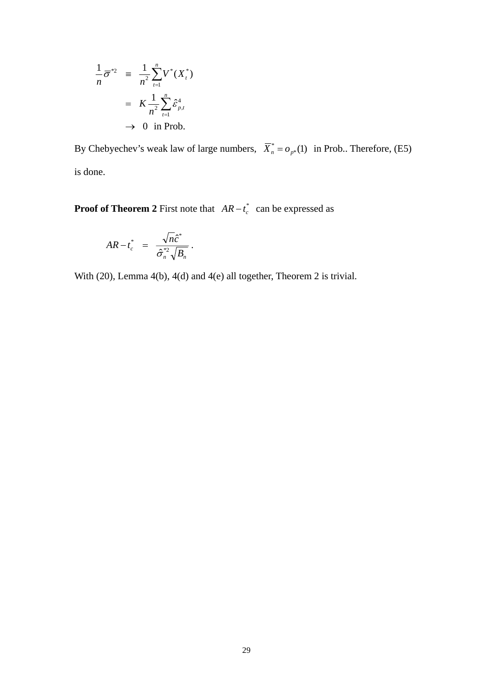$$
\frac{1}{n}\overline{\sigma}^{*2} = \frac{1}{n^2}\sum_{t=1}^n V^*(X_t^*)
$$

$$
= K \frac{1}{n^2}\sum_{t=1}^n \hat{\varepsilon}_{p,t}^4
$$

$$
\to 0 \text{ in Prob.}
$$

By Chebyechev's weak law of large numbers,  $\overline{X}_n^* = o_{p^*}(1)$  in Prob.. Therefore, (E5) is done.

**Proof of Theorem 2** First note that  $AR - t_c^*$  can be expressed as

$$
AR-t_c^* = \frac{\sqrt{n}\hat{c}^*}{\hat{\sigma}_n^{*2}\sqrt{B_n}}.
$$

With (20), Lemma 4(b), 4(d) and 4(e) all together, Theorem 2 is trivial.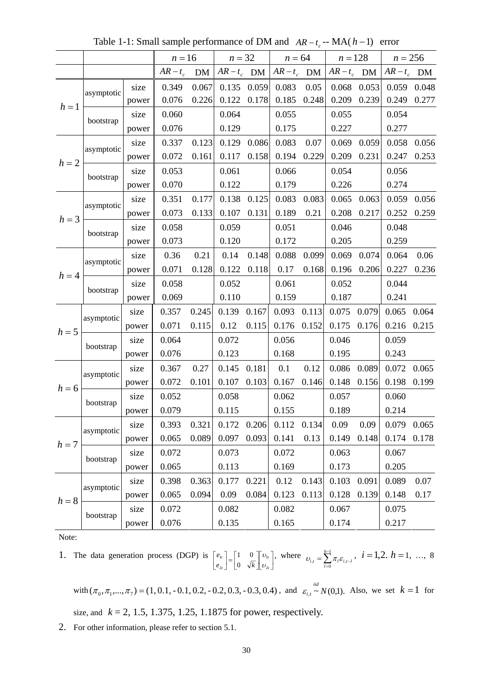|         |            |       | $n = 16$   |       | $n = 32$      |               | $n = 64$      |       | $n = 128$   |       | $n = 256$     |       |
|---------|------------|-------|------------|-------|---------------|---------------|---------------|-------|-------------|-------|---------------|-------|
|         |            |       | $AR - t_c$ | DM    | $AR - t_c$ DM |               | $AR - t_c$ DM |       | $AR-t_c$ DM |       | $AR - t_c$ DM |       |
|         | asymptotic | size  | 0.349      | 0.067 | 0.135         | 0.059         | 0.083         | 0.05  | 0.068       | 0.053 | 0.059 0.048   |       |
| $h=1$   |            | power | 0.076      | 0.226 | 0.122         | 0.178         | 0.185         | 0.248 | 0.209       | 0.239 | 0.249         | 0.277 |
|         | bootstrap  | size  | 0.060      |       | 0.064         |               | 0.055         |       | 0.055       |       | 0.054         |       |
|         |            | power | 0.076      |       | 0.129         |               | 0.175         |       | 0.227       |       | 0.277         |       |
|         | asymptotic | size  | 0.337      | 0.123 | 0.129         | 0.086         | 0.083         | 0.07  | 0.069       | 0.059 | 0.058         | 0.056 |
| $h=2$   |            | power | 0.072      | 0.161 | 0.117         | 0.158         | 0.194         | 0.229 | 0.209       | 0.231 | 0.247         | 0.253 |
|         | bootstrap  | size  | 0.053      |       | 0.061         |               | 0.066         |       | 0.054       |       | 0.056         |       |
|         |            | power | 0.070      |       | 0.122         |               | 0.179         |       | 0.226       |       | 0.274         |       |
|         | asymptotic | size  | 0.351      | 0.177 | 0.138         | 0.125         | 0.083         | 0.083 | 0.065       | 0.063 | 0.059         | 0.056 |
| $h = 3$ |            | power | 0.073      | 0.133 | 0.107         | 0.131         | 0.189         | 0.21  | 0.208       | 0.217 | 0.252         | 0.259 |
|         | bootstrap  | size  | 0.058      |       | 0.059         |               | 0.051         |       | 0.046       |       | 0.048         |       |
|         |            | power | 0.073      |       | 0.120         |               | 0.172         |       | 0.205       |       | 0.259         |       |
|         | asymptotic | size  | 0.36       | 0.21  | 0.14          | 0.148         | 0.088         | 0.099 | 0.069       | 0.074 | 0.064         | 0.06  |
|         |            | power | 0.071      | 0.128 | 0.122         | 0.118         | 0.17          | 0.168 | 0.196       | 0.206 | 0.227         | 0.236 |
| $h = 4$ |            | size  | 0.058      |       | 0.052         |               | 0.061         |       | 0.052       |       | 0.044         |       |
|         | bootstrap  | power | 0.069      |       | 0.110         |               | 0.159         |       | 0.187       |       | 0.241         |       |
|         | asymptotic | size  | 0.357      | 0.245 | 0.139         | 0.167         | 0.093         | 0.113 | 0.075       | 0.079 | 0.065         | 0.064 |
| $h = 5$ |            | power | 0.071      | 0.115 | 0.12          | 0.115         | 0.176         | 0.152 | 0.175       | 0.176 | 0.216         | 0.215 |
|         | bootstrap  | size  | 0.064      |       | 0.072         |               | 0.056         |       | 0.046       |       | 0.059         |       |
|         |            | power | 0.076      |       | 0.123         |               | 0.168         |       | 0.195       |       | 0.243         |       |
|         | asymptotic | size  | 0.367      | 0.27  | 0.145         | 0.181         | 0.1           | 0.12  | 0.086       | 0.089 | 0.072         | 0.065 |
| $h = 6$ |            | power | 0.072      | 0.101 | 0.107         | 0.103         | 0.167         | 0.146 | 0.148       | 0.156 | 0.198         | 0.199 |
|         | bootstrap  | size  | 0.052      |       | 0.058         |               | 0.062         |       | 0.057       |       | 0.060         |       |
|         |            | power | 0.079      |       | 0.115         |               | 0.155         |       | 0.189       |       | 0.214         |       |
|         | asymptotic | size  | 0.393      | 0.321 | 0.172         | $0.206$ 0.112 |               | 0.134 | 0.09        | 0.09  | 0.079 0.065   |       |
| $h = 7$ |            | power | 0.065      | 0.089 | 0.097         | 0.093         | 0.141         | 0.13  | 0.149       | 0.148 | 0.174         | 0.178 |
|         | bootstrap  | size  | 0.072      |       | 0.073         |               | 0.072         |       | 0.063       |       | 0.067         |       |
|         |            | power | 0.065      |       | 0.113         |               | 0.169         |       | 0.173       |       | 0.205         |       |
|         | asymptotic | size  | 0.398      | 0.363 | 0.177         | 0.221         | 0.12          | 0.143 | 0.103       | 0.091 | 0.089         | 0.07  |
| $h=8$   |            | power | 0.065      | 0.094 | 0.09          | 0.084         | 0.123         | 0.113 | 0.128       | 0.139 | 0.148         | 0.17  |
|         |            | size  | 0.072      |       | 0.082         |               | 0.082         |       | 0.067       |       | 0.075         |       |
|         | bootstrap  | power | 0.076      |       | 0.135         |               | 0.165         |       | 0.174       |       | 0.217         |       |

Table 1-1: Small sample performance of DM and  $AR - t_c$  -- MA( $h - 1$ ) error

1. The data generation process (DGP) is  $\begin{bmatrix} e_{1t} \\ e_{2t} \end{bmatrix} = \begin{bmatrix} 1 & 0 \\ 0 & \sqrt{k} \end{bmatrix} \begin{bmatrix} v_{1t} \\ v_{2t} \end{bmatrix}$  $\mathsf I$  $\begin{bmatrix} e_{1t} \\ e_{2t} \end{bmatrix} = \begin{bmatrix} 1 & 0 \\ 0 & \sqrt{k} \end{bmatrix}$ ⎡ *t t t*  $\begin{bmatrix} e_{1t} \\ e_{2t} \end{bmatrix} = \begin{bmatrix} 1 & 0 \\ 0 & \sqrt{k} \end{bmatrix}$ *e* 2 1 2  $\begin{bmatrix} 1t \\ 2t \end{bmatrix} = \begin{bmatrix} 1 \\ 0 \end{bmatrix}$ 1 0  $\left[\nu_{1t}\right]$ , where  $\nu_{i,t} = \sum_{l=0}^{h-1}$  $=\sum_{l=0}^{h-1}\mathcal{\pi}_{l}\mathcal{E}_{i,t-}$  $\mu = \sum_{l=0}^{\infty} \mu_l \mathbf{e}_{i,l}$ *h*  $\nu_{i,t} = \sum_{l=0}^{h-1} \pi_l \varepsilon_{i,t-l}$ ,  $i = 1,2$ ,  $h = 1$ , ..., 8

with  $(\pi_0, \pi_1, ..., \pi_7) = (1, 0.1, -0.1, 0.2, -0.2, 0.3, -0.3, 0.4)$ , and  $\varepsilon_{i,t} \sim N(0,1)$ . Also, we set  $k = 1$  for size, and *k* = 2, 1.5, 1.375, 1.25, 1.1875 for power, respectively.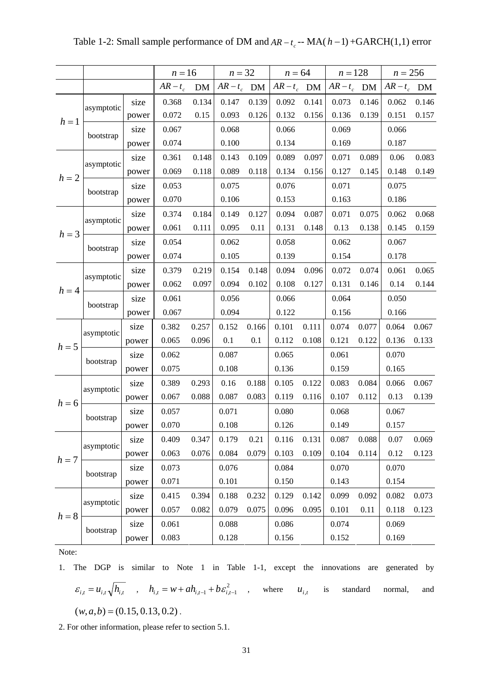|         |            |       | $n = 16$      |       | $n=32$ |       | $n = 64$                            |       | $n = 128$ |       | $n = 256$     |       |
|---------|------------|-------|---------------|-------|--------|-------|-------------------------------------|-------|-----------|-------|---------------|-------|
|         |            |       | $AR - t_c$ DM |       |        |       | $AR-t_c$ DM $AR-t_c$ DM $AR-t_c$ DM |       |           |       | $AR - t_c$ DM |       |
|         | asymptotic | size  | 0.368         | 0.134 | 0.147  | 0.139 | 0.092                               | 0.141 | 0.073     | 0.146 | 0.062         | 0.146 |
| $h=1$   |            | power | 0.072         | 0.15  | 0.093  | 0.126 | 0.132                               | 0.156 | 0.136     | 0.139 | 0.151         | 0.157 |
|         | bootstrap  | size  | 0.067         |       | 0.068  |       | 0.066                               |       | 0.069     |       | 0.066         |       |
|         |            | power | 0.074         |       | 0.100  |       | 0.134                               |       | 0.169     |       | 0.187         |       |
|         | asymptotic | size  | 0.361         | 0.148 | 0.143  | 0.109 | 0.089                               | 0.097 | 0.071     | 0.089 | 0.06          | 0.083 |
| $h = 2$ |            | power | 0.069         | 0.118 | 0.089  | 0.118 | 0.134                               | 0.156 | 0.127     | 0.145 | 0.148         | 0.149 |
|         |            | size  | 0.053         |       | 0.075  |       | 0.076                               |       | 0.071     |       | 0.075         |       |
|         | bootstrap  | power | 0.070         |       | 0.106  |       | 0.153                               |       | 0.163     |       | 0.186         |       |
|         |            | size  | 0.374         | 0.184 | 0.149  | 0.127 | 0.094                               | 0.087 | 0.071     | 0.075 | 0.062         | 0.068 |
| $h = 3$ | asymptotic | power | 0.061         | 0.111 | 0.095  | 0.11  | 0.131                               | 0.148 | 0.13      | 0.138 | 0.145         | 0.159 |
|         |            | size  | 0.054         |       | 0.062  |       | 0.058                               |       | 0.062     |       | 0.067         |       |
|         | bootstrap  | power | 0.074         |       | 0.105  |       | 0.139                               |       | 0.154     |       | 0.178         |       |
|         |            | size  | 0.379         | 0.219 | 0.154  | 0.148 | 0.094                               | 0.096 | 0.072     | 0.074 | 0.061         | 0.065 |
|         | asymptotic | power | 0.062         | 0.097 | 0.094  | 0.102 | 0.108                               | 0.127 | 0.131     | 0.146 | 0.14          | 0.144 |
| $h = 4$ | bootstrap  | size  | 0.061         |       | 0.056  |       | 0.066                               |       | 0.064     |       | 0.050         |       |
|         |            | power | 0.067         |       | 0.094  |       | 0.122                               |       | 0.156     |       | 0.166         |       |
|         |            | size  | 0.382         | 0.257 | 0.152  | 0.166 | 0.101                               | 0.111 | 0.074     | 0.077 | 0.064         | 0.067 |
| $h = 5$ | asymptotic | power | 0.065         | 0.096 | 0.1    | 0.1   | 0.112                               | 0.108 | 0.121     | 0.122 | 0.136         | 0.133 |
|         |            | size  | 0.062         |       | 0.087  |       | 0.065                               |       | 0.061     |       | 0.070         |       |
|         | bootstrap  | power | 0.075         |       | 0.108  |       | 0.136                               |       | 0.159     |       | 0.165         |       |
|         |            | size  | 0.389         | 0.293 | 0.16   | 0.188 | 0.105                               | 0.122 | 0.083     | 0.084 | 0.066         | 0.067 |
| $h=6$   | asymptotic | power | 0.067         | 0.088 | 0.087  | 0.083 | 0.119                               | 0.116 | 0.107     | 0.112 | 0.13          | 0.139 |
|         |            | size  | 0.057         |       | 0.071  |       | 0.080                               |       | 0.068     |       | 0.067         |       |
|         | bootstrap  | power | 0.070         |       | 0.108  |       | 0.126                               |       | 0.149     |       | 0.157         |       |
|         | asymptotic | size  | 0.409         | 0.347 | 0.179  | 0.21  | 0.116                               | 0.131 | 0.087     | 0.088 | 0.07          | 0.069 |
| $h = 7$ |            | power | 0.063         | 0.076 | 0.084  | 0.079 | 0.103                               | 0.109 | 0.104     | 0.114 | 0.12          | 0.123 |
|         | bootstrap  | size  | 0.073         |       | 0.076  |       | 0.084                               |       | 0.070     |       | 0.070         |       |
|         |            | power | 0.071         |       | 0.101  |       | 0.150                               |       | 0.143     |       | 0.154         |       |
|         |            | size  | 0.415         | 0.394 | 0.188  | 0.232 | 0.129                               | 0.142 | 0.099     | 0.092 | 0.082         | 0.073 |
| $h=8$   | asymptotic | power | 0.057         | 0.082 | 0.079  | 0.075 | 0.096                               | 0.095 | 0.101     | 0.11  | 0.118         | 0.123 |
|         |            | size  | 0.061         |       | 0.088  |       | 0.086                               |       | 0.074     |       | 0.069         |       |
|         | bootstrap  | power | 0.083         |       | 0.128  |       | 0.156                               |       | 0.152     |       | 0.169         |       |

Table 1-2: Small sample performance of DM and  $AR - t_c$  -- MA( $h - 1$ ) +GARCH(1,1) error

1. The DGP is similar to Note 1 in Table 1-1, except the innovations are generated by  $\varepsilon_{i,t} = u_{i,t} \sqrt{h_{i,t}}$ ,  $h_{i,t} = w + ah_{i,t-1} + b \varepsilon_{i,t-1}^2$ , where  $u_{i,t}$  is standard normal, and  $(w, a, b) = (0.15, 0.13, 0.2)$ .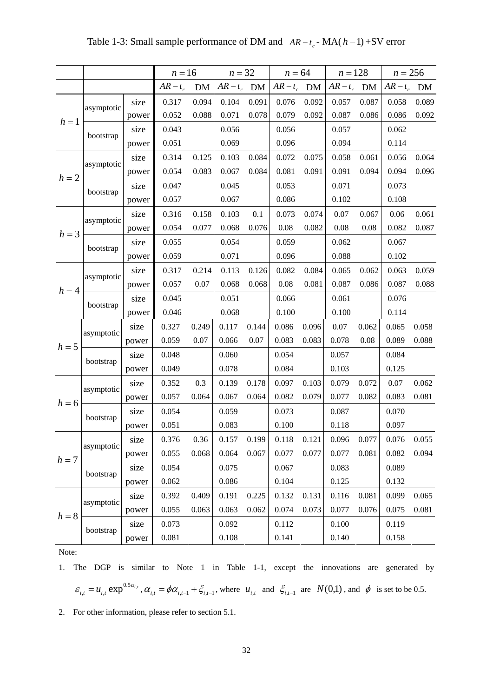|         |            |       | $n = 16$   |       | $n = 32$      |       |               | $n = 64$ | $n = 128$     |       | $n = 256$     |       |
|---------|------------|-------|------------|-------|---------------|-------|---------------|----------|---------------|-------|---------------|-------|
|         |            |       | $AR - t_c$ | DM    | $AR - t_c$ DM |       | $AR - t_c$ DM |          | $AR - t_c$ DM |       | $AR - t_c$ DM |       |
|         | asymptotic | size  | 0.317      | 0.094 | 0.104         | 0.091 | 0.076         | 0.092    | 0.057         | 0.087 | 0.058         | 0.089 |
| $h=1$   |            | power | 0.052      | 0.088 | 0.071         | 0.078 | 0.079         | 0.092    | 0.087         | 0.086 | 0.086         | 0.092 |
|         | bootstrap  | size  | 0.043      |       | 0.056         |       | 0.056         |          | 0.057         |       | 0.062         |       |
|         |            | power | 0.051      |       | 0.069         |       | 0.096         |          | 0.094         |       | 0.114         |       |
|         | asymptotic | size  | 0.314      | 0.125 | 0.103         | 0.084 | 0.072         | 0.075    | 0.058         | 0.061 | 0.056         | 0.064 |
| $h=2$   |            | power | 0.054      | 0.083 | 0.067         | 0.084 | 0.081         | 0.091    | 0.091         | 0.094 | 0.094         | 0.096 |
|         | bootstrap  | size  | 0.047      |       | 0.045         |       | 0.053         |          | 0.071         |       | 0.073         |       |
|         |            | power | 0.057      |       | 0.067         |       | 0.086         |          | 0.102         |       | 0.108         |       |
|         | asymptotic | size  | 0.316      | 0.158 | 0.103         | 0.1   | 0.073         | 0.074    | 0.07          | 0.067 | 0.06          | 0.061 |
| $h = 3$ |            | power | 0.054      | 0.077 | 0.068         | 0.076 | 0.08          | 0.082    | 0.08          | 0.08  | 0.082         | 0.087 |
|         | bootstrap  | size  | 0.055      |       | 0.054         |       | 0.059         |          | 0.062         |       | 0.067         |       |
|         |            | power | 0.059      |       | 0.071         |       | 0.096         |          | 0.088         |       | 0.102         |       |
|         | asymptotic | size  | 0.317      | 0.214 | 0.113         | 0.126 | 0.082         | 0.084    | 0.065         | 0.062 | 0.063         | 0.059 |
| $h=4$   |            | power | 0.057      | 0.07  | 0.068         | 0.068 | 0.08          | 0.081    | 0.087         | 0.086 | 0.087         | 0.088 |
|         | bootstrap  | size  | 0.045      |       | 0.051         |       | 0.066         |          | 0.061         |       | 0.076         |       |
|         |            | power | 0.046      |       | 0.068         |       | 0.100         |          | 0.100         |       | 0.114         |       |
|         | asymptotic | size  | 0.327      | 0.249 | 0.117         | 0.144 | 0.086         | 0.096    | 0.07          | 0.062 | 0.065         | 0.058 |
| $h = 5$ |            | power | 0.059      | 0.07  | 0.066         | 0.07  | 0.083         | 0.083    | 0.078         | 0.08  | 0.089         | 0.088 |
|         | bootstrap  | size  | 0.048      |       | 0.060         |       | 0.054         |          | 0.057         |       | 0.084         |       |
|         |            | power | 0.049      |       | 0.078         |       | 0.084         |          | 0.103         |       | 0.125         |       |
|         | asymptotic | size  | 0.352      | 0.3   | 0.139         | 0.178 | 0.097         | 0.103    | 0.079         | 0.072 | 0.07          | 0.062 |
| $h=6$   |            | power | 0.057      | 0.064 | 0.067         | 0.064 | 0.082         | 0.079    | 0.077         | 0.082 | 0.083         | 0.081 |
|         | bootstrap  | size  | 0.054      |       | 0.059         |       | 0.073         |          | 0.087         |       | 0.070         |       |
|         |            | power | 0.051      |       | 0.083         |       | 0.100         |          | 0.118         |       | 0.097         |       |
|         | asymptotic | size  | 0.376      | 0.36  | 0.157         | 0.199 | 0.118         | 0.121    | 0.096         | 0.077 | 0.076         | 0.055 |
| $h = 7$ |            | power | 0.055      | 0.068 | 0.064         | 0.067 | 0.077         | 0.077    | 0.077         | 0.081 | 0.082         | 0.094 |
|         | bootstrap  | size  | 0.054      |       | 0.075         |       | 0.067         |          | 0.083         |       | 0.089         |       |
|         |            | power | 0.062      |       | 0.086         |       | 0.104         |          | 0.125         |       | 0.132         |       |
|         | asymptotic | size  | 0.392      | 0.409 | 0.191         | 0.225 | 0.132         | 0.131    | 0.116         | 0.081 | 0.099         | 0.065 |
| $h=8$   |            | power | 0.055      | 0.063 | 0.063         | 0.062 | 0.074         | 0.073    | 0.077         | 0.076 | 0.075         | 0.081 |
|         |            | size  | 0.073      |       | 0.092         |       | 0.112         |          | 0.100         |       | 0.119         |       |
|         | bootstrap  | power | 0.081      |       | 0.108         |       | 0.141         |          | 0.140         |       | 0.158         |       |

Table 1-3: Small sample performance of DM and  $AR - t_c$  - MA( $h - 1$ ) +SV error

1. The DGP is similar to Note 1 in Table 1-1, except the innovations are generated by  $\varepsilon_{i,t} = u_{i,t} \exp^{0.5\alpha_{i,t}}$ ,  $\alpha_{i,t} = \phi \alpha_{i,t-1} + \xi_{i,t-1}$ , where  $u_{i,t}$  and  $\xi_{i,t-1}$  are  $N(0,1)$ , and  $\phi$  is set to be 0.5.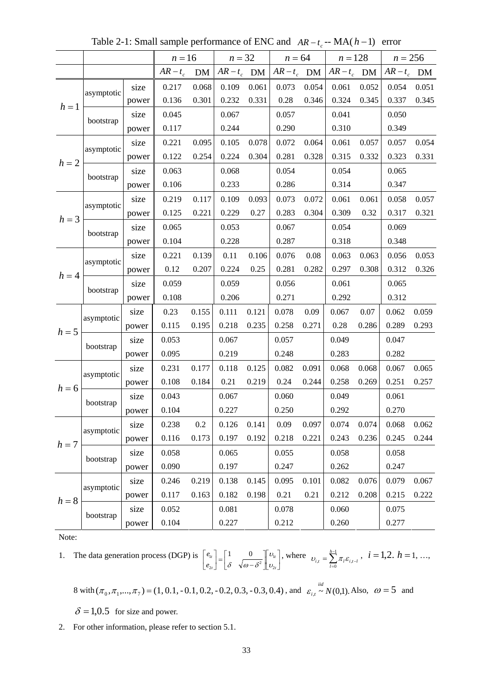|         |            |       | $n = 16$   |         | $n = 32$      |       | $n = 64$      |       | $n = 128$     |       | $n = 256$     |       |
|---------|------------|-------|------------|---------|---------------|-------|---------------|-------|---------------|-------|---------------|-------|
|         |            |       | $AR - t_c$ | DM      | $AR - t_c$ DM |       | $AR - t_c$ DM |       | $AR - t_c$ DM |       | $AR - t_c$ DM |       |
|         | asymptotic | size  | 0.217      | 0.068   | 0.109         | 0.061 | 0.073         | 0.054 | 0.061         | 0.052 | 0.054         | 0.051 |
| $h=1$   |            | power | 0.136      | 0.301   | 0.232         | 0.331 | 0.28          | 0.346 | 0.324         | 0.345 | 0.337         | 0.345 |
|         | bootstrap  | size  | 0.045      |         | 0.067         |       | 0.057         |       | 0.041         |       | 0.050         |       |
|         |            | power | 0.117      |         | 0.244         |       | 0.290         |       | 0.310         |       | 0.349         |       |
|         | asymptotic | size  | 0.221      | 0.095   | 0.105         | 0.078 | 0.072         | 0.064 | 0.061         | 0.057 | 0.057         | 0.054 |
| $h = 2$ |            | power | 0.122      | 0.254   | 0.224         | 0.304 | 0.281         | 0.328 | 0.315         | 0.332 | 0.323         | 0.331 |
|         | bootstrap  | size  | 0.063      |         | 0.068         |       | 0.054         |       | 0.054         |       | 0.065         |       |
|         |            | power | 0.106      |         | 0.233         |       | 0.286         |       | 0.314         |       | 0.347         |       |
|         | asymptotic | size  | 0.219      | 0.117   | 0.109         | 0.093 | 0.073         | 0.072 | 0.061         | 0.061 | 0.058         | 0.057 |
| $h = 3$ |            | power | 0.125      | 0.221   | 0.229         | 0.27  | 0.283         | 0.304 | 0.309         | 0.32  | 0.317         | 0.321 |
|         | bootstrap  | size  | 0.065      |         | 0.053         |       | 0.067         |       | 0.054         |       | 0.069         |       |
|         |            | power | 0.104      |         | 0.228         |       | 0.287         |       | 0.318         |       | 0.348         |       |
|         | asymptotic | size  | 0.221      | 0.139   | 0.11          | 0.106 | 0.076         | 0.08  | 0.063         | 0.063 | 0.056         | 0.053 |
|         |            | power | 0.12       | 0.207   | 0.224         | 0.25  | 0.281         | 0.282 | 0.297         | 0.308 | 0.312         | 0.326 |
| $h = 4$ |            | size  | 0.059      |         | 0.059         |       | 0.056         |       | 0.061         |       | 0.065         |       |
|         | bootstrap  | power | 0.108      |         | 0.206         |       | 0.271         |       | 0.292         |       | 0.312         |       |
|         | asymptotic | size  | 0.23       | 0.155   | 0.111         | 0.121 | 0.078         | 0.09  | 0.067         | 0.07  | 0.062         | 0.059 |
| $h = 5$ |            | power | 0.115      | 0.195   | 0.218         | 0.235 | 0.258         | 0.271 | 0.28          | 0.286 | 0.289         | 0.293 |
|         | bootstrap  | size  | 0.053      |         | 0.067         |       | 0.057         |       | 0.049         |       | 0.047         |       |
|         |            | power | 0.095      |         | 0.219         |       | 0.248         |       | 0.283         |       | 0.282         |       |
|         | asymptotic | size  | 0.231      | 0.177   | 0.118         | 0.125 | 0.082         | 0.091 | 0.068         | 0.068 | 0.067         | 0.065 |
| $h = 6$ |            | power | 0.108      | 0.184   | 0.21          | 0.219 | 0.24          | 0.244 | 0.258         | 0.269 | 0.251         | 0.257 |
|         | bootstrap  | size  | 0.043      |         | 0.067         |       | 0.060         |       | 0.049         |       | 0.061         |       |
|         |            | power | 0.104      |         | 0.227         |       | 0.250         |       | 0.292         |       | 0.270         |       |
|         | asymptotic | size  | 0.238      | $0.2\,$ | 0.126         | 0.141 | 0.09          | 0.097 | 0.074         | 0.074 | 0.068         | 0.062 |
| $h=7$   |            | power | 0.116      | 0.173   | 0.197         | 0.192 | 0.218         | 0.221 | 0.243         | 0.236 | 0.245         | 0.244 |
|         | bootstrap  | size  | 0.058      |         | 0.065         |       | 0.055         |       | 0.058         |       | 0.058         |       |
|         |            | power | 0.090      |         | 0.197         |       | 0.247         |       | 0.262         |       | 0.247         |       |
|         | asymptotic | size  | 0.246      | 0.219   | 0.138         | 0.145 | 0.095         | 0.101 | 0.082         | 0.076 | 0.079         | 0.067 |
| $h=8$   |            | power | 0.117      | 0.163   | 0.182         | 0.198 | 0.21          | 0.21  | 0.212         | 0.208 | 0.215         | 0.222 |
|         | bootstrap  | size  | 0.052      |         | 0.081         |       | 0.078         |       | 0.060         |       | 0.075         |       |
|         |            | power | 0.104      |         | 0.227         |       | 0.212         |       | 0.260         |       | 0.277         |       |

Table 2-1: Small sample performance of ENC and  $AR - t_c$  -- MA( $h - 1$ ) error

1. The data generation process (DGP) is  $\begin{bmatrix} e_{1t} \\ e_{2t} \end{bmatrix} = \begin{bmatrix} 1 & 0 \\ \delta & \sqrt{\omega - \delta^2} \end{bmatrix} \begin{bmatrix} v_{1t} \\ v_{2t} \end{bmatrix}$  $\mathsf I$  $\begin{bmatrix} 1 & 0 \\ \delta & \sqrt{\omega - \delta^2} \end{bmatrix}$  $\begin{bmatrix} e_{1t} \\ e_{2t} \end{bmatrix} = \begin{bmatrix} 1 & 0 \\ \delta & \sqrt{\omega - 1} \end{bmatrix}$  $\lfloor$ *t t t t e e*  $^{\prime}$  $\begin{bmatrix} 1t \\ 2t \end{bmatrix} = \begin{bmatrix} 1 & 0 \\ \delta & \sqrt{\omega - \delta^2} \end{bmatrix} \begin{bmatrix} \nu_1 \\ \nu_2 \end{bmatrix}$  $P_{1t}$  |  $\begin{bmatrix} 1 & 0 \end{bmatrix}$ υ υ  $\begin{bmatrix} 1 & 0 \\ \delta & \sqrt{\omega - \delta^2} \end{bmatrix}$   $\begin{bmatrix} v_{1t} \\ v_{2t} \end{bmatrix}$ , where  $v_{i,t} = \sum_{l=0}^{h-1}$  $=\sum_{l=0}^{h-1}\mathcal{\pi}_{l}\mathcal{E}_{i,t-}$  $\mu_{l,t} = \sum_{l=0}^{\infty} \mu_l \mathbf{c}_{l,t}$ *h*  $v_{i,t} = \sum_{i=0}^{h-1} \pi_i \varepsilon_{i,t-i}$ ,  $i = 1,2$ ,  $h = 1, ...,$ 

8 with 
$$
(\pi_0, \pi_1, ..., \pi_7) = (1, 0.1, -0.1, 0.2, -0.2, 0.3, -0.3, 0.4)
$$
, and  $\varepsilon_{i,t} \sim N(0,1)$ . Also,  $\omega = 5$  and

 $\delta$  = 1,0.5 for size and power.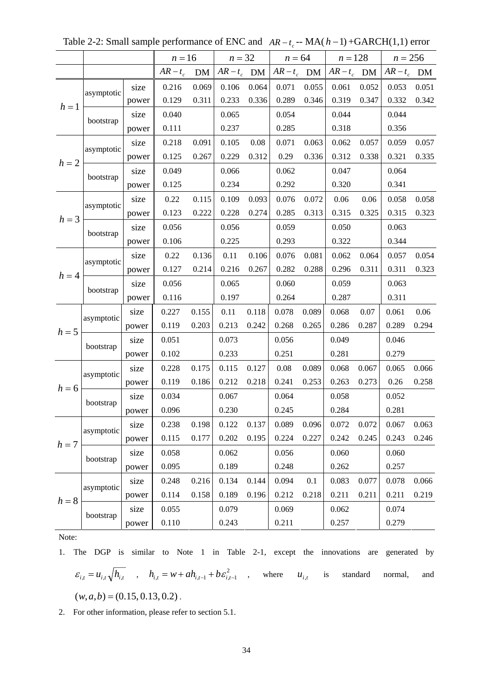|         |            |       | $n=16$     |       | $n = 32$      |       | $n = 64$    |       | $n = 128$   |       | $n = 256$     |       |
|---------|------------|-------|------------|-------|---------------|-------|-------------|-------|-------------|-------|---------------|-------|
|         |            |       | $AR - t_c$ | DM    | $AR - t_c$ DM |       | $AR-t_c$ DM |       | $AR-t_c$ DM |       | $AR - t_c$ DM |       |
|         | asymptotic | size  | 0.216      | 0.069 | 0.106         | 0.064 | 0.071       | 0.055 | 0.061       | 0.052 | 0.053         | 0.051 |
| $h=1$   |            | power | 0.129      | 0.311 | 0.233         | 0.336 | 0.289       | 0.346 | 0.319       | 0.347 | 0.332         | 0.342 |
|         | bootstrap  | size  | 0.040      |       | 0.065         |       | 0.054       |       | 0.044       |       | 0.044         |       |
|         |            | power | 0.111      |       | 0.237         |       | 0.285       |       | 0.318       |       | 0.356         |       |
|         | asymptotic | size  | 0.218      | 0.091 | 0.105         | 0.08  | 0.071       | 0.063 | 0.062       | 0.057 | 0.059         | 0.057 |
| $h=2$   |            | power | 0.125      | 0.267 | 0.229         | 0.312 | 0.29        | 0.336 | 0.312       | 0.338 | 0.321         | 0.335 |
|         | bootstrap  | size  | 0.049      |       | 0.066         |       | 0.062       |       | 0.047       |       | 0.064         |       |
|         |            | power | 0.125      |       | 0.234         |       | 0.292       |       | 0.320       |       | 0.341         |       |
|         | asymptotic | size  | 0.22       | 0.115 | 0.109         | 0.093 | 0.076       | 0.072 | 0.06        | 0.06  | 0.058         | 0.058 |
| $h = 3$ |            | power | 0.123      | 0.222 | 0.228         | 0.274 | 0.285       | 0.313 | 0.315       | 0.325 | 0.315         | 0.323 |
|         | bootstrap  | size  | 0.056      |       | 0.056         |       | 0.059       |       | 0.050       |       | 0.063         |       |
|         |            | power | 0.106      |       | 0.225         |       | 0.293       |       | 0.322       |       | 0.344         |       |
|         | asymptotic | size  | 0.22       | 0.136 | 0.11          | 0.106 | 0.076       | 0.081 | 0.062       | 0.064 | 0.057         | 0.054 |
|         |            | power | 0.127      | 0.214 | 0.216         | 0.267 | 0.282       | 0.288 | 0.296       | 0.311 | 0.311         | 0.323 |
| $h = 4$ | bootstrap  | size  | 0.056      |       | 0.065         |       | 0.060       |       | 0.059       |       | 0.063         |       |
|         |            | power | 0.116      |       | 0.197         |       | 0.264       |       | 0.287       |       | 0.311         |       |
|         | asymptotic | size  | 0.227      | 0.155 | 0.11          | 0.118 | 0.078       | 0.089 | 0.068       | 0.07  | 0.061         | 0.06  |
| $h = 5$ |            | power | 0.119      | 0.203 | 0.213         | 0.242 | 0.268       | 0.265 | 0.286       | 0.287 | 0.289         | 0.294 |
|         | bootstrap  | size  | 0.051      |       | 0.073         |       | 0.056       |       | 0.049       |       | 0.046         |       |
|         |            | power | 0.102      |       | 0.233         |       | 0.251       |       | 0.281       |       | 0.279         |       |
|         | asymptotic | size  | 0.228      | 0.175 | 0.115         | 0.127 | 0.08        | 0.089 | 0.068       | 0.067 | 0.065         | 0.066 |
| $h = 6$ |            | power | 0.119      | 0.186 | 0.212         | 0.218 | 0.241       | 0.253 | 0.263       | 0.273 | 0.26          | 0.258 |
|         | bootstrap  | size  | 0.034      |       | 0.067         |       | 0.064       |       | 0.058       |       | 0.052         |       |
|         |            | power | 0.096      |       | 0.230         |       | 0.245       |       | 0.284       |       | 0.281         |       |
|         | asymptotic | size  | 0.238      | 0.198 | 0.122         | 0.137 | 0.089       | 0.096 | 0.072       | 0.072 | 0.067         | 0.063 |
| $h = 7$ |            | power | 0.115      | 0.177 | 0.202         | 0.195 | 0.224       | 0.227 | 0.242       | 0.245 | 0.243         | 0.246 |
|         | bootstrap  | size  | 0.058      |       | 0.062         |       | 0.056       |       | 0.060       |       | 0.060         |       |
|         |            | power | 0.095      |       | 0.189         |       | 0.248       |       | 0.262       |       | 0.257         |       |
|         | asymptotic | size  | 0.248      | 0.216 | 0.134         | 0.144 | 0.094       | 0.1   | 0.083       | 0.077 | $0.078\,$     | 0.066 |
| $h=8$   |            | power | 0.114      | 0.158 | 0.189         | 0.196 | 0.212       | 0.218 | 0.211       | 0.211 | 0.211         | 0.219 |
|         | bootstrap  | size  | 0.055      |       | 0.079         |       | 0.069       |       | 0.062       |       | 0.074         |       |
|         |            | power | 0.110      |       | 0.243         |       | 0.211       |       | 0.257       |       | 0.279         |       |

Table 2-2: Small sample performance of ENC and  $AR - t_c$  -- MA( $h - 1$ ) +GARCH(1,1) error

1. The DGP is similar to Note 1 in Table 2-1, except the innovations are generated by  $\varepsilon_{i,t} = u_{i,t} \sqrt{h_{i,t}}$ ,  $h_{i,t} = w + ah_{i,t-1} + b \varepsilon_{i,t-1}^2$ , where  $u_{i,t}$  is standard normal, and  $(w, a, b) = (0.15, 0.13, 0.2)$ .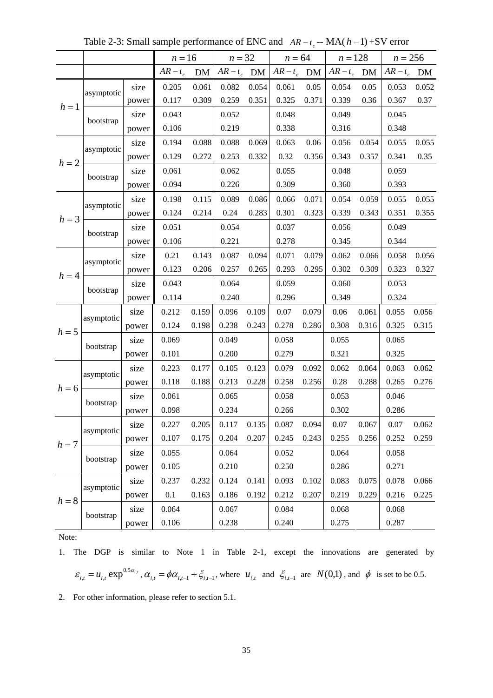|         |            |       | $n = 16$   |           | $n = 32$      |       | $n = 64$      |       | $n = 128$   |       | $n = 256$     |       |
|---------|------------|-------|------------|-----------|---------------|-------|---------------|-------|-------------|-------|---------------|-------|
|         |            |       | $AR - t_c$ | <b>DM</b> | $AR - t_c$ DM |       | $AR - t_c$ DM |       | $AR-t_c$ DM |       | $AR - t_c$ DM |       |
|         | asymptotic | size  | 0.205      | 0.061     | 0.082         | 0.054 | 0.061         | 0.05  | 0.054       | 0.05  | 0.053         | 0.052 |
| $h=1$   |            | power | 0.117      | 0.309     | 0.259         | 0.351 | 0.325         | 0.371 | 0.339       | 0.36  | 0.367         | 0.37  |
|         | bootstrap  | size  | 0.043      |           | 0.052         |       | 0.048         |       | 0.049       |       | 0.045         |       |
|         |            | power | 0.106      |           | 0.219         |       | 0.338         |       | 0.316       |       | 0.348         |       |
|         | asymptotic | size  | 0.194      | 0.088     | 0.088         | 0.069 | 0.063         | 0.06  | 0.056       | 0.054 | 0.055         | 0.055 |
| $h=2$   |            | power | 0.129      | 0.272     | 0.253         | 0.332 | 0.32          | 0.356 | 0.343       | 0.357 | 0.341         | 0.35  |
|         | bootstrap  | size  | 0.061      |           | 0.062         |       | 0.055         |       | 0.048       |       | 0.059         |       |
|         |            | power | 0.094      |           | 0.226         |       | 0.309         |       | 0.360       |       | 0.393         |       |
|         | asymptotic | size  | 0.198      | 0.115     | 0.089         | 0.086 | 0.066         | 0.071 | 0.054       | 0.059 | 0.055         | 0.055 |
| $h = 3$ |            | power | 0.124      | 0.214     | 0.24          | 0.283 | 0.301         | 0.323 | 0.339       | 0.343 | 0.351         | 0.355 |
|         | bootstrap  | size  | 0.051      |           | 0.054         |       | 0.037         |       | 0.056       |       | 0.049         |       |
|         |            | power | 0.106      |           | 0.221         |       | 0.278         |       | 0.345       |       | 0.344         |       |
|         | asymptotic | size  | 0.21       | 0.143     | 0.087         | 0.094 | 0.071         | 0.079 | 0.062       | 0.066 | 0.058         | 0.056 |
| $h = 4$ |            | power | 0.123      | 0.206     | 0.257         | 0.265 | 0.293         | 0.295 | 0.302       | 0.309 | 0.323         | 0.327 |
|         |            | size  | 0.043      |           | 0.064         |       | 0.059         |       | 0.060       |       | 0.053         |       |
|         | bootstrap  | power | 0.114      |           | 0.240         |       | 0.296         |       | 0.349       |       | 0.324         |       |
|         | asymptotic | size  | 0.212      | 0.159     | 0.096         | 0.109 | 0.07          | 0.079 | 0.06        | 0.061 | 0.055         | 0.056 |
| $h = 5$ |            | power | 0.124      | 0.198     | 0.238         | 0.243 | 0.278         | 0.286 | 0.308       | 0.316 | 0.325         | 0.315 |
|         | bootstrap  | size  | 0.069      |           | 0.049         |       | 0.058         |       | 0.055       |       | 0.065         |       |
|         |            | power | 0.101      |           | 0.200         |       | 0.279         |       | 0.321       |       | 0.325         |       |
|         | asymptotic | size  | 0.223      | 0.177     | 0.105         | 0.123 | 0.079         | 0.092 | 0.062       | 0.064 | 0.063         | 0.062 |
| $h = 6$ |            | power | 0.118      | 0.188     | 0.213         | 0.228 | 0.258         | 0.256 | 0.28        | 0.288 | 0.265         | 0.276 |
|         | bootstrap  | size  | 0.061      |           | 0.065         |       | 0.058         |       | 0.053       |       | 0.046         |       |
|         |            | power | 0.098      |           | 0.234         |       | 0.266         |       | 0.302       |       | 0.286         |       |
|         | asymptotic | size  | 0.227      | 0.205     | 0.117         | 0.135 | 0.087         | 0.094 | 0.07        | 0.067 | 0.07          | 0.062 |
| $h = 7$ |            | power | 0.107      | 0.175     | 0.204         | 0.207 | 0.245         | 0.243 | 0.255       | 0.256 | 0.252         | 0.259 |
|         | bootstrap  | size  | 0.055      |           | 0.064         |       | 0.052         |       | 0.064       |       | 0.058         |       |
|         |            | power | 0.105      |           | 0.210         |       | 0.250         |       | 0.286       |       | 0.271         |       |
|         | asymptotic | size  | 0.237      | 0.232     | 0.124         | 0.141 | 0.093         | 0.102 | 0.083       | 0.075 | 0.078         | 0.066 |
| $h=8$   |            | power | 0.1        | 0.163     | 0.186         | 0.192 | 0.212         | 0.207 | 0.219       | 0.229 | 0.216         | 0.225 |
|         | bootstrap  | size  | 0.064      |           | 0.067         |       | 0.084         |       | 0.068       |       | 0.068         |       |
|         |            | power | 0.106      |           | 0.238         |       | 0.240         |       | 0.275       |       | 0.287         |       |

Table 2-3: Small sample performance of ENC and  $AR - t_c$  -- MA( $h - 1$ ) +SV error

1. The DGP is similar to Note 1 in Table 2-1, except the innovations are generated by

$$
\varepsilon_{i,t} = u_{i,t} \exp^{0.5\alpha_{i,t}}, \alpha_{i,t} = \phi\alpha_{i,t-1} + \xi_{i,t-1}, \text{ where } u_{i,t} \text{ and } \xi_{i,t-1} \text{ are } N(0,1) \text{, and } \phi \text{ is set to be 0.5.}
$$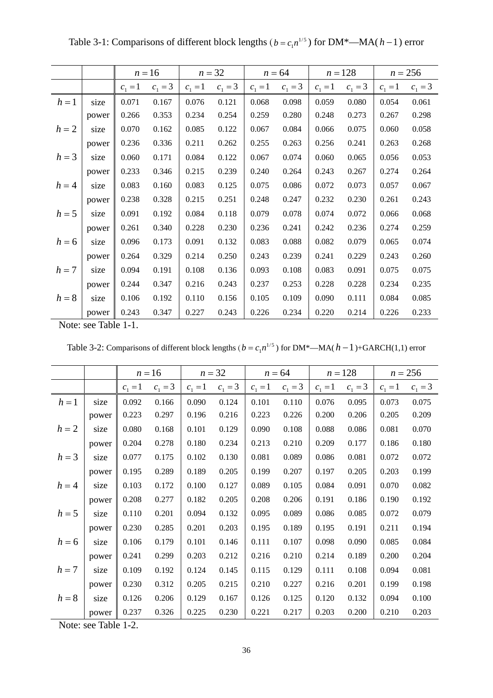|         |       |           | $n=16$    |           | $n = 32$  |           | $n = 64$  |           | $n = 128$ |           | $n = 256$ |
|---------|-------|-----------|-----------|-----------|-----------|-----------|-----------|-----------|-----------|-----------|-----------|
|         |       | $c_1 = 1$ | $c_1 = 3$ | $c_1 = 1$ | $c_1 = 3$ | $c_1 = 1$ | $c_1 = 3$ | $c_1 = 1$ | $c_1 = 3$ | $c_1 = 1$ | $c_1 = 3$ |
| $h=1$   | size  | 0.071     | 0.167     | 0.076     | 0.121     | 0.068     | 0.098     | 0.059     | 0.080     | 0.054     | 0.061     |
|         | power | 0.266     | 0.353     | 0.234     | 0.254     | 0.259     | 0.280     | 0.248     | 0.273     | 0.267     | 0.298     |
| $h=2$   | size  | 0.070     | 0.162     | 0.085     | 0.122     | 0.067     | 0.084     | 0.066     | 0.075     | 0.060     | 0.058     |
|         | power | 0.236     | 0.336     | 0.211     | 0.262     | 0.255     | 0.263     | 0.256     | 0.241     | 0.263     | 0.268     |
| $h=3$   | size  | 0.060     | 0.171     | 0.084     | 0.122     | 0.067     | 0.074     | 0.060     | 0.065     | 0.056     | 0.053     |
|         | power | 0.233     | 0.346     | 0.215     | 0.239     | 0.240     | 0.264     | 0.243     | 0.267     | 0.274     | 0.264     |
| $h = 4$ | size  | 0.083     | 0.160     | 0.083     | 0.125     | 0.075     | 0.086     | 0.072     | 0.073     | 0.057     | 0.067     |
|         | power | 0.238     | 0.328     | 0.215     | 0.251     | 0.248     | 0.247     | 0.232     | 0.230     | 0.261     | 0.243     |
| $h=5$   | size  | 0.091     | 0.192     | 0.084     | 0.118     | 0.079     | 0.078     | 0.074     | 0.072     | 0.066     | 0.068     |
|         | power | 0.261     | 0.340     | 0.228     | 0.230     | 0.236     | 0.241     | 0.242     | 0.236     | 0.274     | 0.259     |
| $h=6$   | size  | 0.096     | 0.173     | 0.091     | 0.132     | 0.083     | 0.088     | 0.082     | 0.079     | 0.065     | 0.074     |
|         | power | 0.264     | 0.329     | 0.214     | 0.250     | 0.243     | 0.239     | 0.241     | 0.229     | 0.243     | 0.260     |
| $h=7$   | size  | 0.094     | 0.191     | 0.108     | 0.136     | 0.093     | 0.108     | 0.083     | 0.091     | 0.075     | 0.075     |
|         | power | 0.244     | 0.347     | 0.216     | 0.243     | 0.237     | 0.253     | 0.228     | 0.228     | 0.234     | 0.235     |
| $h=8$   | size  | 0.106     | 0.192     | 0.110     | 0.156     | 0.105     | 0.109     | 0.090     | 0.111     | 0.084     | 0.085     |
|         | power | 0.243     | 0.347     | 0.227     | 0.243     | 0.226     | 0.234     | 0.220     | 0.214     | 0.226     | 0.233     |

Table 3-1: Comparisons of different block lengths ( $b = c_1 n^{1/5}$ ) for DM\*—MA( $h - 1$ ) error

Note: see Table 1-1.

Table 3-2: Comparisons of different block lengths ( $b = c_1 n^{1/5}$ ) for DM<sup>\*</sup>—MA( $h - 1$ )+GARCH(1,1) error

|         |       |           | $n=16$    |           | $n=32$    |           | $n = 64$  |           | $n = 128$ |           | $n = 256$ |
|---------|-------|-----------|-----------|-----------|-----------|-----------|-----------|-----------|-----------|-----------|-----------|
|         |       | $c_1 = 1$ | $c_1 = 3$ | $c_1 = 1$ | $c_1 = 3$ | $c_1 = 1$ | $c_1 = 3$ | $c_1 = 1$ | $c_1 = 3$ | $c_1 = 1$ | $c_1 = 3$ |
| $h=1$   | size  | 0.092     | 0.166     | 0.090     | 0.124     | 0.101     | 0.110     | 0.076     | 0.095     | 0.073     | 0.075     |
|         | power | 0.223     | 0.297     | 0.196     | 0.216     | 0.223     | 0.226     | 0.200     | 0.206     | 0.205     | 0.209     |
| $h=2$   | size  | 0.080     | 0.168     | 0.101     | 0.129     | 0.090     | 0.108     | 0.088     | 0.086     | 0.081     | 0.070     |
|         | power | 0.204     | 0.278     | 0.180     | 0.234     | 0.213     | 0.210     | 0.209     | 0.177     | 0.186     | 0.180     |
| $h = 3$ | size  | 0.077     | 0.175     | 0.102     | 0.130     | 0.081     | 0.089     | 0.086     | 0.081     | 0.072     | 0.072     |
|         | power | 0.195     | 0.289     | 0.189     | 0.205     | 0.199     | 0.207     | 0.197     | 0.205     | 0.203     | 0.199     |
| $h = 4$ | size  | 0.103     | 0.172     | 0.100     | 0.127     | 0.089     | 0.105     | 0.084     | 0.091     | 0.070     | 0.082     |
|         | power | 0.208     | 0.277     | 0.182     | 0.205     | 0.208     | 0.206     | 0.191     | 0.186     | 0.190     | 0.192     |
| $h = 5$ | size  | 0.110     | 0.201     | 0.094     | 0.132     | 0.095     | 0.089     | 0.086     | 0.085     | 0.072     | 0.079     |
|         | power | 0.230     | 0.285     | 0.201     | 0.203     | 0.195     | 0.189     | 0.195     | 0.191     | 0.211     | 0.194     |
| $h=6$   | size  | 0.106     | 0.179     | 0.101     | 0.146     | 0.111     | 0.107     | 0.098     | 0.090     | 0.085     | 0.084     |
|         | power | 0.241     | 0.299     | 0.203     | 0.212     | 0.216     | 0.210     | 0.214     | 0.189     | 0.200     | 0.204     |
| $h=7$   | size  | 0.109     | 0.192     | 0.124     | 0.145     | 0.115     | 0.129     | 0.111     | 0.108     | 0.094     | 0.081     |
|         | power | 0.230     | 0.312     | 0.205     | 0.215     | 0.210     | 0.227     | 0.216     | 0.201     | 0.199     | 0.198     |
| $h=8$   | size  | 0.126     | 0.206     | 0.129     | 0.167     | 0.126     | 0.125     | 0.120     | 0.132     | 0.094     | 0.100     |
|         | power | 0.237     | 0.326     | 0.225     | 0.230     | 0.221     | 0.217     | 0.203     | 0.200     | 0.210     | 0.203     |

Note: see Table 1-2.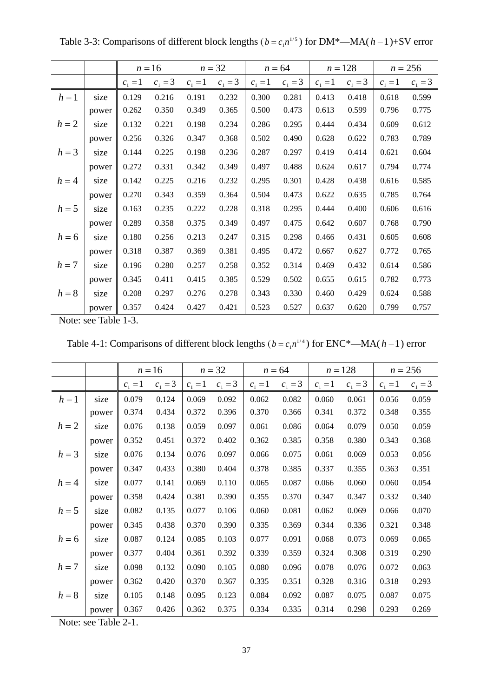|         |       |           | $n=16$    |           | $n = 32$  |           | $n = 64$  |           | $n = 128$ |           | $n = 256$ |
|---------|-------|-----------|-----------|-----------|-----------|-----------|-----------|-----------|-----------|-----------|-----------|
|         |       | $c_1 = 1$ | $c_1 = 3$ | $c_1 = 1$ | $c_1 = 3$ | $c_1 = 1$ | $c_1 = 3$ | $c_1 = 1$ | $c_1 = 3$ | $c_1 = 1$ | $c_1 = 3$ |
| $h=1$   | size  | 0.129     | 0.216     | 0.191     | 0.232     | 0.300     | 0.281     | 0.413     | 0.418     | 0.618     | 0.599     |
|         | power | 0.262     | 0.350     | 0.349     | 0.365     | 0.500     | 0.473     | 0.613     | 0.599     | 0.796     | 0.775     |
| $h=2$   | size  | 0.132     | 0.221     | 0.198     | 0.234     | 0.286     | 0.295     | 0.444     | 0.434     | 0.609     | 0.612     |
|         | power | 0.256     | 0.326     | 0.347     | 0.368     | 0.502     | 0.490     | 0.628     | 0.622     | 0.783     | 0.789     |
| $h = 3$ | size  | 0.144     | 0.225     | 0.198     | 0.236     | 0.287     | 0.297     | 0.419     | 0.414     | 0.621     | 0.604     |
|         | power | 0.272     | 0.331     | 0.342     | 0.349     | 0.497     | 0.488     | 0.624     | 0.617     | 0.794     | 0.774     |
| $h = 4$ | size  | 0.142     | 0.225     | 0.216     | 0.232     | 0.295     | 0.301     | 0.428     | 0.438     | 0.616     | 0.585     |
|         | power | 0.270     | 0.343     | 0.359     | 0.364     | 0.504     | 0.473     | 0.622     | 0.635     | 0.785     | 0.764     |
| $h = 5$ | size  | 0.163     | 0.235     | 0.222     | 0.228     | 0.318     | 0.295     | 0.444     | 0.400     | 0.606     | 0.616     |
|         | power | 0.289     | 0.358     | 0.375     | 0.349     | 0.497     | 0.475     | 0.642     | 0.607     | 0.768     | 0.790     |
| $h=6$   | size  | 0.180     | 0.256     | 0.213     | 0.247     | 0.315     | 0.298     | 0.466     | 0.431     | 0.605     | 0.608     |
|         | power | 0.318     | 0.387     | 0.369     | 0.381     | 0.495     | 0.472     | 0.667     | 0.627     | 0.772     | 0.765     |
| $h=7$   | size  | 0.196     | 0.280     | 0.257     | 0.258     | 0.352     | 0.314     | 0.469     | 0.432     | 0.614     | 0.586     |
|         | power | 0.345     | 0.411     | 0.415     | 0.385     | 0.529     | 0.502     | 0.655     | 0.615     | 0.782     | 0.773     |
| $h = 8$ | size  | 0.208     | 0.297     | 0.276     | 0.278     | 0.343     | 0.330     | 0.460     | 0.429     | 0.624     | 0.588     |
|         | power | 0.357     | 0.424     | 0.427     | 0.421     | 0.523     | 0.527     | 0.637     | 0.620     | 0.799     | 0.757     |

Table 3-3: Comparisons of different block lengths ( $b = c_1 n^{1/5}$ ) for DM<sup>\*</sup>—MA( $h - 1$ )+SV error

Note: see Table 1-3.

|         |       |           | $n=16$    |           | $n = 32$  |           | $n = 64$  |           | $n = 128$ |           | $n = 256$ |
|---------|-------|-----------|-----------|-----------|-----------|-----------|-----------|-----------|-----------|-----------|-----------|
|         |       | $c_1 = 1$ | $c_1 = 3$ | $c_1 = 1$ | $c_1 = 3$ | $c_1 = 1$ | $c_1 = 3$ | $c_1 = 1$ | $c_1 = 3$ | $c_1 = 1$ | $c_1 = 3$ |
| $h=1$   | size  | 0.079     | 0.124     | 0.069     | 0.092     | 0.062     | 0.082     | 0.060     | 0.061     | 0.056     | 0.059     |
|         | power | 0.374     | 0.434     | 0.372     | 0.396     | 0.370     | 0.366     | 0.341     | 0.372     | 0.348     | 0.355     |
| $h=2$   | size  | 0.076     | 0.138     | 0.059     | 0.097     | 0.061     | 0.086     | 0.064     | 0.079     | 0.050     | 0.059     |
|         | power | 0.352     | 0.451     | 0.372     | 0.402     | 0.362     | 0.385     | 0.358     | 0.380     | 0.343     | 0.368     |
| $h=3$   | size  | 0.076     | 0.134     | 0.076     | 0.097     | 0.066     | 0.075     | 0.061     | 0.069     | 0.053     | 0.056     |
|         | power | 0.347     | 0.433     | 0.380     | 0.404     | 0.378     | 0.385     | 0.337     | 0.355     | 0.363     | 0.351     |
| $h = 4$ | size  | 0.077     | 0.141     | 0.069     | 0.110     | 0.065     | 0.087     | 0.066     | 0.060     | 0.060     | 0.054     |
|         | power | 0.358     | 0.424     | 0.381     | 0.390     | 0.355     | 0.370     | 0.347     | 0.347     | 0.332     | 0.340     |
| $h=5$   | size  | 0.082     | 0.135     | 0.077     | 0.106     | 0.060     | 0.081     | 0.062     | 0.069     | 0.066     | 0.070     |
|         | power | 0.345     | 0.438     | 0.370     | 0.390     | 0.335     | 0.369     | 0.344     | 0.336     | 0.321     | 0.348     |
| $h=6$   | size  | 0.087     | 0.124     | 0.085     | 0.103     | 0.077     | 0.091     | 0.068     | 0.073     | 0.069     | 0.065     |
|         | power | 0.377     | 0.404     | 0.361     | 0.392     | 0.339     | 0.359     | 0.324     | 0.308     | 0.319     | 0.290     |
| $h=7$   | size  | 0.098     | 0.132     | 0.090     | 0.105     | 0.080     | 0.096     | 0.078     | 0.076     | 0.072     | 0.063     |
|         | power | 0.362     | 0.420     | 0.370     | 0.367     | 0.335     | 0.351     | 0.328     | 0.316     | 0.318     | 0.293     |
| $h=8$   | size  | 0.105     | 0.148     | 0.095     | 0.123     | 0.084     | 0.092     | 0.087     | 0.075     | 0.087     | 0.075     |
|         | power | 0.367     | 0.426     | 0.362     | 0.375     | 0.334     | 0.335     | 0.314     | 0.298     | 0.293     | 0.269     |

Note: see Table 2-1.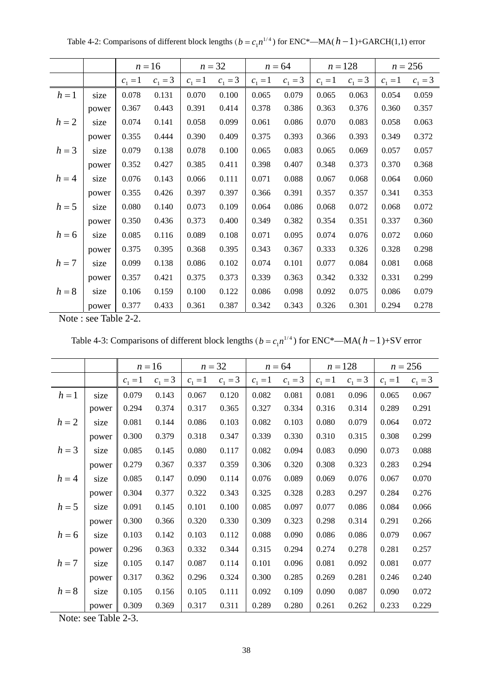|         |       |           | $n = 16$  |           | $n = 32$  |           | $n = 64$  |           | $n = 128$ |           | $n = 256$ |
|---------|-------|-----------|-----------|-----------|-----------|-----------|-----------|-----------|-----------|-----------|-----------|
|         |       | $c_1 = 1$ | $c_1 = 3$ | $c_1 = 1$ | $c_1 = 3$ | $c_1 = 1$ | $c_1 = 3$ | $c_1 = 1$ | $c_1 = 3$ | $c_1 = 1$ | $c_1 = 3$ |
| $h=1$   | size  | 0.078     | 0.131     | 0.070     | 0.100     | 0.065     | 0.079     | 0.065     | 0.063     | 0.054     | 0.059     |
|         | power | 0.367     | 0.443     | 0.391     | 0.414     | 0.378     | 0.386     | 0.363     | 0.376     | 0.360     | 0.357     |
| $h=2$   | size  | 0.074     | 0.141     | 0.058     | 0.099     | 0.061     | 0.086     | 0.070     | 0.083     | 0.058     | 0.063     |
|         | power | 0.355     | 0.444     | 0.390     | 0.409     | 0.375     | 0.393     | 0.366     | 0.393     | 0.349     | 0.372     |
| $h=3$   | size  | 0.079     | 0.138     | 0.078     | 0.100     | 0.065     | 0.083     | 0.065     | 0.069     | 0.057     | 0.057     |
|         | power | 0.352     | 0.427     | 0.385     | 0.411     | 0.398     | 0.407     | 0.348     | 0.373     | 0.370     | 0.368     |
| $h = 4$ | size  | 0.076     | 0.143     | 0.066     | 0.111     | 0.071     | 0.088     | 0.067     | 0.068     | 0.064     | 0.060     |
|         | power | 0.355     | 0.426     | 0.397     | 0.397     | 0.366     | 0.391     | 0.357     | 0.357     | 0.341     | 0.353     |
| $h = 5$ | size  | 0.080     | 0.140     | 0.073     | 0.109     | 0.064     | 0.086     | 0.068     | 0.072     | 0.068     | 0.072     |
|         | power | 0.350     | 0.436     | 0.373     | 0.400     | 0.349     | 0.382     | 0.354     | 0.351     | 0.337     | 0.360     |
| $h=6$   | size  | 0.085     | 0.116     | 0.089     | 0.108     | 0.071     | 0.095     | 0.074     | 0.076     | 0.072     | 0.060     |
|         | power | 0.375     | 0.395     | 0.368     | 0.395     | 0.343     | 0.367     | 0.333     | 0.326     | 0.328     | 0.298     |
| $h=7$   | size  | 0.099     | 0.138     | 0.086     | 0.102     | 0.074     | 0.101     | 0.077     | 0.084     | 0.081     | 0.068     |
|         | power | 0.357     | 0.421     | 0.375     | 0.373     | 0.339     | 0.363     | 0.342     | 0.332     | 0.331     | 0.299     |
| $h=8$   | size  | 0.106     | 0.159     | 0.100     | 0.122     | 0.086     | 0.098     | 0.092     | 0.075     | 0.086     | 0.079     |
|         | power | 0.377     | 0.433     | 0.361     | 0.387     | 0.342     | 0.343     | 0.326     | 0.301     | 0.294     | 0.278     |

Table 4-2: Comparisons of different block lengths ( $b = c_1 n^{1/4}$ ) for ENC\*—MA( $h - 1$ )+GARCH(1,1) error

Note : see Table 2-2.

Table 4-3: Comparisons of different block lengths ( $b = c_1 n^{1/4}$ ) for ENC<sup>\*</sup>—MA( $h - 1$ )+SV error

|         |       | $n = 16$  |           | $n = 32$  |           | $n = 64$  |           | $n = 128$ |           | $n = 256$ |           |
|---------|-------|-----------|-----------|-----------|-----------|-----------|-----------|-----------|-----------|-----------|-----------|
|         |       | $c_1 = 1$ | $c_1 = 3$ | $c_1 = 1$ | $c_1 = 3$ | $c_1 = 1$ | $c_1 = 3$ | $c_1 = 1$ | $c_1 = 3$ | $c_1 = 1$ | $c_1 = 3$ |
| $h=1$   | size  | 0.079     | 0.143     | 0.067     | 0.120     | 0.082     | 0.081     | 0.081     | 0.096     | 0.065     | 0.067     |
|         | power | 0.294     | 0.374     | 0.317     | 0.365     | 0.327     | 0.334     | 0.316     | 0.314     | 0.289     | 0.291     |
| $h=2$   | size  | 0.081     | 0.144     | 0.086     | 0.103     | 0.082     | 0.103     | 0.080     | 0.079     | 0.064     | 0.072     |
|         | power | 0.300     | 0.379     | 0.318     | 0.347     | 0.339     | 0.330     | 0.310     | 0.315     | 0.308     | 0.299     |
| $h = 3$ | size  | 0.085     | 0.145     | 0.080     | 0.117     | 0.082     | 0.094     | 0.083     | 0.090     | 0.073     | 0.088     |
|         | power | 0.279     | 0.367     | 0.337     | 0.359     | 0.306     | 0.320     | 0.308     | 0.323     | 0.283     | 0.294     |
| $h = 4$ | size  | 0.085     | 0.147     | 0.090     | 0.114     | 0.076     | 0.089     | 0.069     | 0.076     | 0.067     | 0.070     |
|         | power | 0.304     | 0.377     | 0.322     | 0.343     | 0.325     | 0.328     | 0.283     | 0.297     | 0.284     | 0.276     |
| $h=5$   | size  | 0.091     | 0.145     | 0.101     | 0.100     | 0.085     | 0.097     | 0.077     | 0.086     | 0.084     | 0.066     |
|         | power | 0.300     | 0.366     | 0.320     | 0.330     | 0.309     | 0.323     | 0.298     | 0.314     | 0.291     | 0.266     |
| $h = 6$ | size  | 0.103     | 0.142     | 0.103     | 0.112     | 0.088     | 0.090     | 0.086     | 0.086     | 0.079     | 0.067     |
|         | power | 0.296     | 0.363     | 0.332     | 0.344     | 0.315     | 0.294     | 0.274     | 0.278     | 0.281     | 0.257     |
| $h = 7$ | size  | 0.105     | 0.147     | 0.087     | 0.114     | 0.101     | 0.096     | 0.081     | 0.092     | 0.081     | 0.077     |
|         | power | 0.317     | 0.362     | 0.296     | 0.324     | 0.300     | 0.285     | 0.269     | 0.281     | 0.246     | 0.240     |
| $h=8$   | size  | 0.105     | 0.156     | 0.105     | 0.111     | 0.092     | 0.109     | 0.090     | 0.087     | 0.090     | 0.072     |
|         | power | 0.309     | 0.369     | 0.317     | 0.311     | 0.289     | 0.280     | 0.261     | 0.262     | 0.233     | 0.229     |

Note: see Table 2-3.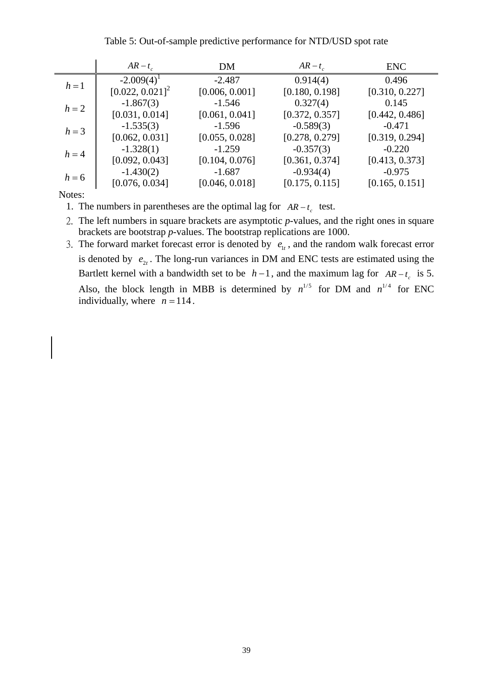#### Table 5: Out-of-sample predictive performance for NTD/USD spot rate

|              | $AR - t_c$           | DM             | $AR - t_c$     | <b>ENC</b>     |
|--------------|----------------------|----------------|----------------|----------------|
| $h=1$        | $-2.009(4)^{1}$      | $-2.487$       | 0.914(4)       | 0.496          |
|              | $[0.022, 0.021]^{2}$ | [0.006, 0.001] | [0.180, 0.198] | [0.310, 0.227] |
| $h=2$        | $-1.867(3)$          | $-1.546$       | 0.327(4)       | 0.145          |
|              | [0.031, 0.014]       | [0.061, 0.041] | [0.372, 0.357] | [0.442, 0.486] |
| $h = 3$      | $-1.535(3)$          | $-1.596$       | $-0.589(3)$    | $-0.471$       |
|              | [0.062, 0.031]       | [0.055, 0.028] | [0.278, 0.279] | [0.319, 0.294] |
| $h=4$        | $-1.328(1)$          | $-1.259$       | $-0.357(3)$    | $-0.220$       |
|              | [0.092, 0.043]       | [0.104, 0.076] | [0.361, 0.374] | [0.413, 0.373] |
| $h = 6$      | $-1.430(2)$          | $-1.687$       | $-0.934(4)$    | $-0.975$       |
|              | [0.076, 0.034]       | [0.046, 0.018] | [0.175, 0.115] | [0.165, 0.151] |
| $\mathbf{r}$ |                      |                |                |                |

Notes:

1. The numbers in parentheses are the optimal lag for  $AR - t_c$  test.

2. The left numbers in square brackets are asymptotic *p*-values, and the right ones in square brackets are bootstrap *p*-values. The bootstrap replications are 1000.

3. The forward market forecast error is denoted by  $e_{1t}$ , and the random walk forecast error is denoted by  $e_{2t}$ . The long-run variances in DM and ENC tests are estimated using the Bartlett kernel with a bandwidth set to be  $h-1$ , and the maximum lag for  $AR-t_c$  is 5. Also, the block length in MBB is determined by  $n^{1/5}$  for DM and  $n^{1/4}$  for ENC individually, where  $n = 114$ .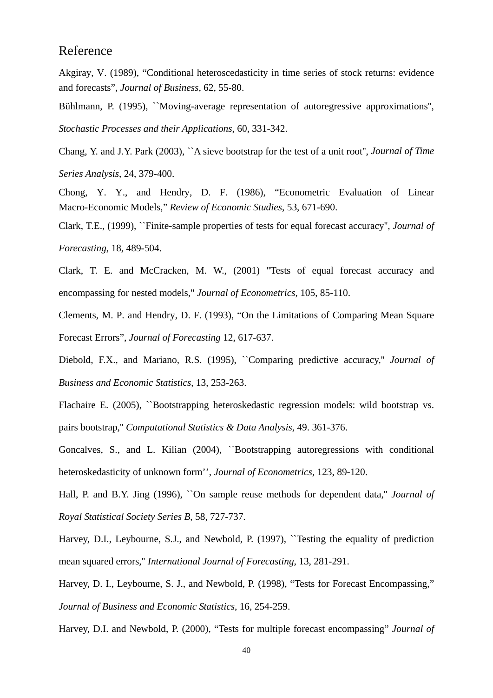#### Reference

Akgiray, V. (1989), "Conditional heteroscedasticity in time series of stock returns: evidence and forecasts", *Journal of Business*, 62, 55-80.

Bühlmann, P. (1995), ``Moving-average representation of autoregressive approximations'', *Stochastic Processes and their Applications*, 60, 331-342.

Chang, Y. and J.Y. Park (2003), ``A sieve bootstrap for the test of a unit root'', *Journal of Time Series Analysis*, 24, 379-400.

Chong, Y. Y., and Hendry, D. F. (1986), "Econometric Evaluation of Linear Macro-Economic Models," *Review of Economic Studies*, 53, 671-690.

Clark, T.E., (1999), ``Finite-sample properties of tests for equal forecast accuracy'', *Journal of Forecasting*, 18, 489-504.

Clark, T. E. and McCracken, M. W., (2001) "Tests of equal forecast accuracy and encompassing for nested models," *Journal of Econometrics*, 105, 85-110.

Clements, M. P. and Hendry, D. F. (1993), "On the Limitations of Comparing Mean Square Forecast Errors", *Journal of Forecasting* 12, 617-637.

Diebold, F.X., and Mariano, R.S. (1995), ``Comparing predictive accuracy,'' *Journal of Business and Economic Statistics*, 13, 253-263.

Flachaire E. (2005), ``Bootstrapping heteroskedastic regression models: wild bootstrap vs. pairs bootstrap,'' *Computational Statistics & Data Analysis*, 49. 361-376.

Goncalves, S., and L. Kilian (2004), ``Bootstrapping autoregressions with conditional heteroskedasticity of unknown form'', *Journal of Econometrics*, 123, 89-120.

Hall, P. and B.Y. Jing (1996), ``On sample reuse methods for dependent data,'' *Journal of Royal Statistical Society Series B*, 58, 727-737.

Harvey, D.I., Leybourne, S.J., and Newbold, P. (1997), "Testing the equality of prediction mean squared errors,'' *International Journal of Forecasting*, 13, 281-291.

Harvey, D. I., Leybourne, S. J., and Newbold, P. (1998), "Tests for Forecast Encompassing," *Journal of Business and Economic Statistics*, 16, 254-259.

Harvey, D.I. and Newbold, P. (2000), "Tests for multiple forecast encompassing" *Journal of*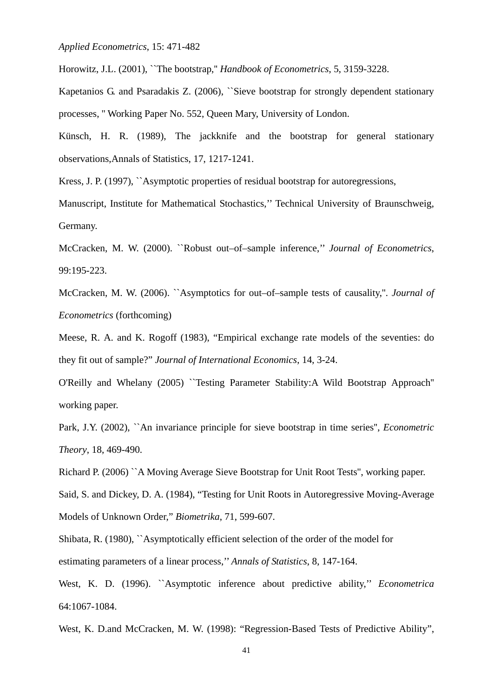Horowitz, J.L. (2001), ``The bootstrap,'' *Handbook of Econometrics*, 5, 3159-3228.

Kapetanios G. and Psaradakis Z. (2006), ``Sieve bootstrap for strongly dependent stationary processes, '' Working Paper No. 552, Queen Mary, University of London.

Künsch, H. R. (1989), The jackknife and the bootstrap for general stationary observations,Annals of Statistics, 17, 1217-1241.

Kress, J. P. (1997), ``Asymptotic properties of residual bootstrap for autoregressions,

Manuscript, Institute for Mathematical Stochastics,'' Technical University of Braunschweig, Germany.

McCracken, M. W. (2000). ``Robust out–of–sample inference,'' *Journal of Econometrics*, 99:195-223.

McCracken, M. W. (2006). ``Asymptotics for out–of–sample tests of causality,''. *Journal of Econometrics* (forthcoming)

Meese, R. A. and K. Rogoff (1983), "Empirical exchange rate models of the seventies: do they fit out of sample?" *Journal of International Economics*, 14, 3-24.

O'Reilly and Whelany (2005) ``Testing Parameter Stability:A Wild Bootstrap Approach'' working paper.

Park, J.Y. (2002), ``An invariance principle for sieve bootstrap in time series'', *Econometric Theory*, 18, 469-490.

Richard P. (2006) ``A Moving Average Sieve Bootstrap for Unit Root Tests'', working paper.

Said, S. and Dickey, D. A. (1984), "Testing for Unit Roots in Autoregressive Moving-Average Models of Unknown Order," *Biometrika*, 71, 599-607.

Shibata, R. (1980), ``Asymptotically efficient selection of the order of the model for estimating parameters of a linear process,'' *Annals of Statistics*, 8, 147-164.

West, K. D. (1996). ``Asymptotic inference about predictive ability,'' *Econometrica* 64:1067-1084.

West, K. D.and McCracken, M. W. (1998): "Regression-Based Tests of Predictive Ability",